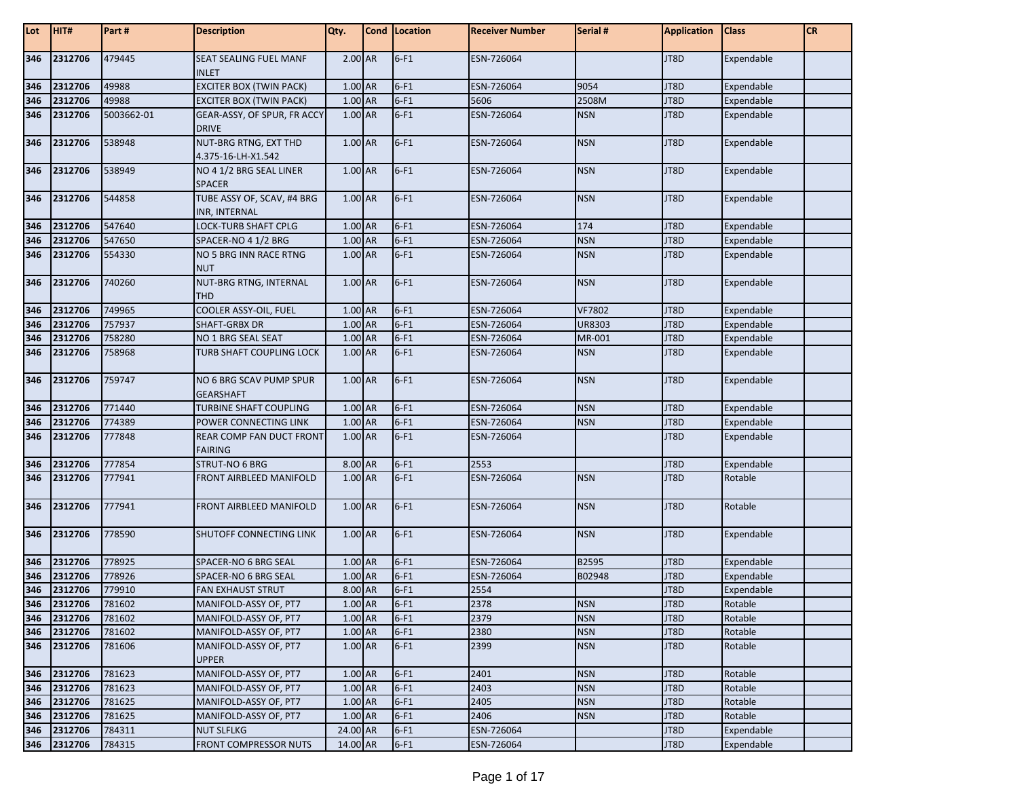| Lot | HIT#        | Part#      | <b>Description</b>                          | Qty.      | Cond Location | <b>Receiver Number</b> | Serial #      | <b>Application</b> | <b>Class</b> | <b>CR</b> |
|-----|-------------|------------|---------------------------------------------|-----------|---------------|------------------------|---------------|--------------------|--------------|-----------|
| 346 | 2312706     | 479445     | SEAT SEALING FUEL MANF<br><b>INLET</b>      | $2.00$ AR | $6-F1$        | ESN-726064             |               | JT8D               | Expendable   |           |
| 346 | 2312706     | 49988      | <b>EXCITER BOX (TWIN PACK)</b>              | 1.00 AR   | $6-F1$        | ESN-726064             | 9054          | JT8D               | Expendable   |           |
| 346 | 2312706     | 49988      | <b>EXCITER BOX (TWIN PACK)</b>              | 1.00 AR   | $6-F1$        | 5606                   | 2508M         | JT8D               | Expendable   |           |
| 346 | 2312706     | 5003662-01 | GEAR-ASSY, OF SPUR, FR ACCY                 | 1.00 AR   | $6-F1$        | ESN-726064             | <b>NSN</b>    | JT8D               | Expendable   |           |
|     |             |            | <b>DRIVE</b>                                |           |               |                        |               |                    |              |           |
| 346 | 2312706     | 538948     | NUT-BRG RTNG, EXT THD                       | 1.00 AR   | $6-F1$        | ESN-726064             | <b>NSN</b>    | JT8D               | Expendable   |           |
|     |             |            | 4.375-16-LH-X1.542                          |           |               |                        |               |                    |              |           |
| 346 | 2312706     | 538949     | NO 4 1/2 BRG SEAL LINER<br><b>SPACER</b>    | 1.00 AR   | $6-F1$        | ESN-726064             | <b>NSN</b>    | JT8D               | Expendable   |           |
| 346 | 2312706     | 544858     | TUBE ASSY OF, SCAV, #4 BRG                  | $1.00$ AR | $6-F1$        | ESN-726064             | <b>NSN</b>    | JT8D               | Expendable   |           |
|     |             |            | INR, INTERNAL                               |           |               |                        |               |                    |              |           |
| 346 | 2312706     | 547640     | LOCK-TURB SHAFT CPLG                        | 1.00 AR   | $6-F1$        | ESN-726064             | 174           | JT8D               | Expendable   |           |
| 346 | 2312706     | 547650     | SPACER-NO 4 1/2 BRG                         | 1.00 AR   | $6-F1$        | ESN-726064             | <b>NSN</b>    | JT8D               | Expendable   |           |
| 346 | 2312706     | 554330     | NO 5 BRG INN RACE RTNG<br><b>NUT</b>        | 1.00 AR   | $6-F1$        | ESN-726064             | <b>NSN</b>    | JT8D               | Expendable   |           |
| 346 | 2312706     | 740260     | NUT-BRG RTNG, INTERNAL<br><b>THD</b>        | 1.00 AR   | $6-F1$        | ESN-726064             | <b>NSN</b>    | JT8D               | Expendable   |           |
| 346 | 2312706     | 749965     | COOLER ASSY-OIL, FUEL                       | 1.00 AR   | $6-F1$        | ESN-726064             | <b>VF7802</b> | JT8D               | Expendable   |           |
| 346 | 2312706     | 757937     | SHAFT-GRBX DR                               | 1.00 AR   | $6-F1$        | ESN-726064             | UR8303        | JT8D               | Expendable   |           |
| 346 | 2312706     | 758280     | NO 1 BRG SEAL SEAT                          | 1.00 AR   | $6-F1$        | ESN-726064             | MR-001        | JT8D               | Expendable   |           |
| 346 | 2312706     | 758968     | TURB SHAFT COUPLING LOCK                    | 1.00 AR   | $6-F1$        | ESN-726064             | <b>NSN</b>    | JT8D               | Expendable   |           |
| 346 | 2312706     | 759747     | NO 6 BRG SCAV PUMP SPUR<br><b>GEARSHAFT</b> | 1.00 AR   | $6-F1$        | ESN-726064             | <b>NSN</b>    | JT8D               | Expendable   |           |
| 346 | 2312706     | 771440     | TURBINE SHAFT COUPLING                      | 1.00 AR   | $6-F1$        | ESN-726064             | <b>NSN</b>    | JT8D               | Expendable   |           |
| 346 | 2312706     | 774389     | POWER CONNECTING LINK                       | 1.00 AR   | $6-F1$        | ESN-726064             | <b>NSN</b>    | JT8D               | Expendable   |           |
| 346 | 2312706     | 777848     | REAR COMP FAN DUCT FRONT<br><b>FAIRING</b>  | 1.00 AR   | $6-F1$        | ESN-726064             |               | JT8D               | Expendable   |           |
| 346 | 2312706     | 777854     | STRUT-NO 6 BRG                              | 8.00 AR   | $6-F1$        | 2553                   |               | JT8D               | Expendable   |           |
| 346 | 2312706     | 777941     | FRONT AIRBLEED MANIFOLD                     | 1.00 AR   | $6-F1$        | ESN-726064             | <b>NSN</b>    | JT8D               | Rotable      |           |
| 346 | 2312706     | 777941     | FRONT AIRBLEED MANIFOLD                     | 1.00 AR   | $6-F1$        | ESN-726064             | <b>NSN</b>    | JT8D               | Rotable      |           |
| 346 | 2312706     | 778590     | SHUTOFF CONNECTING LINK                     | 1.00 AR   | $6-F1$        | ESN-726064             | <b>NSN</b>    | JT8D               | Expendable   |           |
| 346 | 2312706     | 778925     | SPACER-NO 6 BRG SEAL                        | 1.00 AR   | $6-F1$        | ESN-726064             | B2595         | JT8D               | Expendable   |           |
| 346 | 2312706     | 778926     | SPACER-NO 6 BRG SEAL                        | 1.00 AR   | $6-F1$        | ESN-726064             | B02948        | JT8D               | Expendable   |           |
| 346 | 2312706     | 779910     | FAN EXHAUST STRUT                           | 8.00 AR   | $6-F1$        | 2554                   |               | JT8D               | Expendable   |           |
| 346 | 2312706     | 781602     | MANIFOLD-ASSY OF, PT7                       | 1.00 AR   | $6-F1$        | 2378                   | <b>NSN</b>    | JT8D               | Rotable      |           |
| 346 | 2312706     | 781602     | MANIFOLD-ASSY OF, PT7                       | 1.00 AR   | $6-F1$        | 2379                   | <b>NSN</b>    | JT8D               | Rotable      |           |
| 346 | 2312706     | 781602     | MANIFOLD-ASSY OF, PT7                       | 1.00 AR   | $6-F1$        | 2380                   | <b>NSN</b>    | JT8D               | Rotable      |           |
| 346 | 2312706     | 781606     | MANIFOLD-ASSY OF, PT7<br><b>UPPER</b>       | 1.00 AR   | $6-F1$        | 2399                   | <b>NSN</b>    | JT8D               | Rotable      |           |
| 346 | 2312706     | 781623     | MANIFOLD-ASSY OF, PT7                       | 1.00 AR   | $6-F1$        | 2401                   | <b>NSN</b>    | JT8D               | Rotable      |           |
| 346 | 2312706     | 781623     | MANIFOLD-ASSY OF, PT7                       | 1.00 AR   | $6-F1$        | 2403                   | <b>NSN</b>    | JT8D               | Rotable      |           |
| 346 | 2312706     | 781625     | MANIFOLD-ASSY OF, PT7                       | 1.00 AR   | $6-F1$        | 2405                   | <b>NSN</b>    | JT8D               | Rotable      |           |
| 346 | 2312706     | 781625     | MANIFOLD-ASSY OF, PT7                       | 1.00 AR   | $6-F1$        | 2406                   | <b>NSN</b>    | JT8D               | Rotable      |           |
| 346 | 2312706     | 784311     | <b>NUT SLFLKG</b>                           | 24.00 AR  | $6-F1$        | ESN-726064             |               | JT8D               | Expendable   |           |
|     | 346 2312706 | 784315     | <b>FRONT COMPRESSOR NUTS</b>                | 14.00 AR  | $6-F1$        | ESN-726064             |               | JT8D               | Expendable   |           |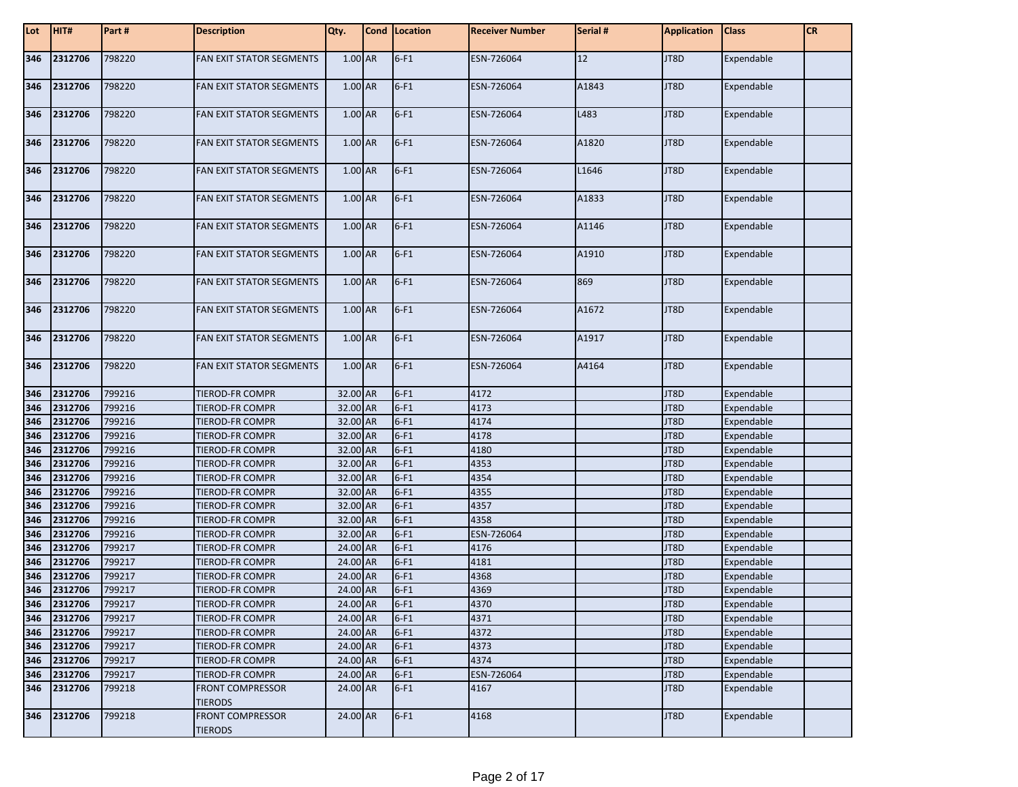| Lot               | HIT#                       | Part #           | <b>Description</b>                        | Qty.                 | Cond Location    | <b>Receiver Number</b> | Serial # | <b>Application</b> | <b>Class</b>             | <b>CR</b> |
|-------------------|----------------------------|------------------|-------------------------------------------|----------------------|------------------|------------------------|----------|--------------------|--------------------------|-----------|
| 346               | 2312706                    | 798220           | <b>FAN EXIT STATOR SEGMENTS</b>           | 1.00 AR              | $6-F1$           | ESN-726064             | 12       | JT8D               | Expendable               |           |
| 346               | 2312706                    | 798220           | FAN EXIT STATOR SEGMENTS                  | 1.00 AR              | $6-F1$           | ESN-726064             | A1843    | JT8D               | Expendable               |           |
| 346               | 2312706                    | 798220           | <b>FAN EXIT STATOR SEGMENTS</b>           | 1.00 AR              | $6-F1$           | ESN-726064             | L483     | JT8D               | Expendable               |           |
| 346               | 2312706                    | 798220           | FAN EXIT STATOR SEGMENTS                  | $1.00$ AR            | $6-F1$           | ESN-726064             | A1820    | JT8D               | Expendable               |           |
| 346               | 2312706                    | 798220           | <b>FAN EXIT STATOR SEGMENTS</b>           | 1.00 AR              | $6-F1$           | ESN-726064             | L1646    | JT8D               | Expendable               |           |
| 346               | 2312706                    | 798220           | FAN EXIT STATOR SEGMENTS                  | 1.00 AR              | $6-F1$           | ESN-726064             | A1833    | JT8D               | Expendable               |           |
| 346               | 2312706                    | 798220           | <b>FAN EXIT STATOR SEGMENTS</b>           | 1.00 AR              | $6-F1$           | ESN-726064             | A1146    | JT8D               | Expendable               |           |
| 346               | 2312706                    | 798220           | <b>FAN EXIT STATOR SEGMENTS</b>           | 1.00 AR              | $6-F1$           | ESN-726064             | A1910    | JT8D               | Expendable               |           |
| 346               | 2312706                    | 798220           | FAN EXIT STATOR SEGMENTS                  | 1.00 AR              | $6-F1$           | ESN-726064             | 869      | JT8D               | Expendable               |           |
| 346               | 2312706                    | 798220           | <b>FAN EXIT STATOR SEGMENTS</b>           | 1.00 AR              | $6-F1$           | ESN-726064             | A1672    | JT8D               | Expendable               |           |
| 346               | 2312706                    | 798220           | <b>FAN EXIT STATOR SEGMENTS</b>           | 1.00 AR              | $6-F1$           | ESN-726064             | A1917    | JT8D               | Expendable               |           |
| 346               | 2312706                    | 798220           | FAN EXIT STATOR SEGMENTS                  | 1.00 AR              | $6-F1$           | ESN-726064             | A4164    | JT8D               | Expendable               |           |
| 346               | 2312706                    | 799216           | <b>TIEROD-FR COMPR</b>                    | 32.00 AR             | $6-F1$           | 4172                   |          | JT8D               | Expendable               |           |
| 346               | 2312706                    | 799216           | <b>TIEROD-FR COMPR</b>                    | 32.00 AR             | $6-F1$           | 4173                   |          | JT8D               | Expendable               |           |
| 346               | 2312706                    | 799216           | TIEROD-FR COMPR                           | 32.00 AR             | $6-F1$           | 4174                   |          | JT8D               | Expendable               |           |
| 346               | 2312706                    | 799216           | TIEROD-FR COMPR                           | 32.00 AR             | $6-F1$           | 4178                   |          | JT8D               | Expendable               |           |
| 346               | 2312706                    | 799216           | TIEROD-FR COMPR                           | 32.00 AR             | $6-F1$           | 4180                   |          | JT8D               | Expendable               |           |
| 346               | 2312706                    | 799216           | <b>TIEROD-FR COMPR</b>                    | 32.00 AR             | $6-F1$           | 4353                   |          | JT8D               | Expendable               |           |
| 346               | 2312706                    | 799216           | <b>TIEROD-FR COMPR</b>                    | 32.00 AR             | $6-F1$           | 4354                   |          | JT8D               | Expendable               |           |
| 346               | 2312706                    | 799216           | TIEROD-FR COMPR                           | 32.00 AR             | $6-F1$           | 4355                   |          | JT8D               | Expendable               |           |
| 346               | 2312706                    | 799216           | <b>TIEROD-FR COMPR</b>                    | 32.00 AR             | $6-F1$           | 4357                   |          | JT8D               | Expendable               |           |
| 346               | 2312706                    | 799216           | TIEROD-FR COMPR                           | 32.00 AR             | $6-F1$           | 4358                   |          | JT8D               | Expendable               |           |
| 346               | 2312706                    | 799216           | <b>TIEROD-FR COMPR</b>                    | 32.00 AR             | $6-F1$           | ESN-726064             |          | JT8D               | Expendable               |           |
| 346               | 2312706                    | 799217           | <b>TIEROD-FR COMPR</b>                    | 24.00 AR             | $6-F1$           | 4176                   |          | JT8D               | Expendable               |           |
| 346               | 2312706                    | 799217           | <b>TIEROD-FR COMPR</b>                    | 24.00 AR             | $6-F1$           | 4181                   |          | JT8D               | Expendable               |           |
| 346               | 2312706                    | 799217           | TIEROD-FR COMPR                           | 24.00 AR             | $6-F1$           | 4368                   |          | JT8D               | Expendable               |           |
| $\frac{346}{246}$ | 2312706                    | 799217           | TIEROD-FR COMPR                           | 24.00 AR             | $6-F1$           | 4369                   |          | JT8D               | Expendable               |           |
|                   | 346 2312706<br>346 2312706 | 799217           | TIEROD-FR COMPR                           | 24.00 AR             | $6-F1$           | 4370                   |          | JT8D               | Expendable               |           |
|                   | 346 2312706                | 799217           | <b>TIEROD-FR COMPR</b>                    | 24.00 AR<br>24.00 AR | $6-F1$<br>$6-F1$ | 4371<br>4372           |          | JT8D               | Expendable<br>Expendable |           |
| 346               |                            | 799217           | TIEROD-FR COMPR                           |                      | $6-F1$           | 4373                   |          | JT8D<br>JT8D       |                          |           |
| 346               | 2312706                    | 799217           | TIEROD-FR COMPR                           | 24.00 AR<br>24.00 AR | $6-F1$           | 4374                   |          | JT8D               | Expendable<br>Expendable |           |
| 346               | 2312706<br>2312706         | 799217<br>799217 | TIEROD-FR COMPR<br>TIEROD-FR COMPR        | 24.00 AR             | $6-F1$           | ESN-726064             |          | JT8D               | Expendable               |           |
| 346               | 2312706                    | 799218           | <b>FRONT COMPRESSOR</b>                   | 24.00 AR             | $6-F1$           | 4167                   |          | JT8D               | Expendable               |           |
|                   |                            |                  | <b>TIERODS</b>                            |                      |                  |                        |          |                    |                          |           |
|                   | 346 2312706                | 799218           | <b>FRONT COMPRESSOR</b><br><b>TIERODS</b> | 24.00 AR             | $6-F1$           | 4168                   |          | JT8D               | Expendable               |           |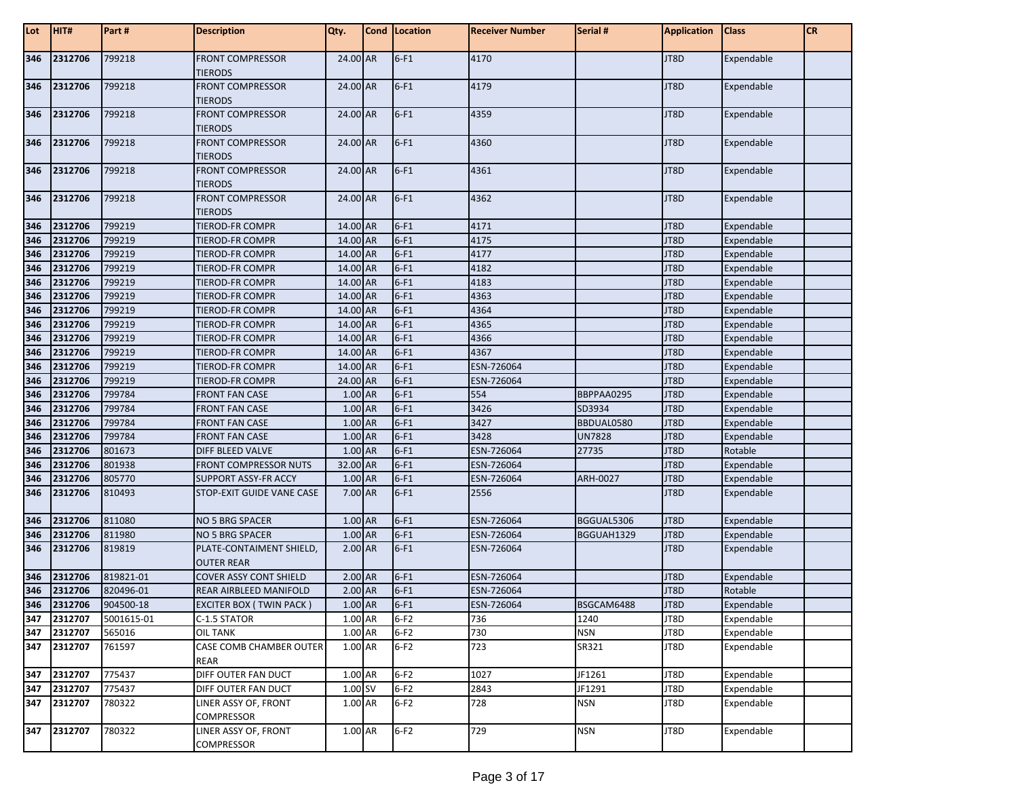| Lot | HIT#        | Part#      | <b>Description</b>                            | Qty.      | Cond   Location | <b>Receiver Number</b> | Serial #      | <b>Application</b> | <b>Class</b> | <b>CR</b> |
|-----|-------------|------------|-----------------------------------------------|-----------|-----------------|------------------------|---------------|--------------------|--------------|-----------|
| 346 | 2312706     | 799218     | <b>FRONT COMPRESSOR</b><br><b>TIERODS</b>     | 24.00 AR  | $6-F1$          | 4170                   |               | JT8D               | Expendable   |           |
| 346 | 2312706     | 799218     | <b>FRONT COMPRESSOR</b><br><b>TIERODS</b>     | 24.00 AR  | $6-F1$          | 4179                   |               | JT8D               | Expendable   |           |
| 346 | 2312706     | 799218     | <b>FRONT COMPRESSOR</b><br><b>TIERODS</b>     | 24.00 AR  | $6-F1$          | 4359                   |               | JT8D               | Expendable   |           |
| 346 | 2312706     | 799218     | <b>FRONT COMPRESSOR</b><br><b>TIERODS</b>     | 24.00 AR  | $6-F1$          | 4360                   |               | JT8D               | Expendable   |           |
| 346 | 2312706     | 799218     | <b>FRONT COMPRESSOR</b><br><b>TIERODS</b>     | 24.00 AR  | $6-F1$          | 4361                   |               | JT8D               | Expendable   |           |
| 346 | 2312706     | 799218     | <b>FRONT COMPRESSOR</b><br><b>TIERODS</b>     | 24.00 AR  | $6-F1$          | 4362                   |               | JT8D               | Expendable   |           |
| 346 | 2312706     | 799219     | TIEROD-FR COMPR                               | 14.00 AR  | $6-F1$          | 4171                   |               | JT8D               | Expendable   |           |
| 346 | 2312706     | 799219     | TIEROD-FR COMPR                               | 14.00 AR  | $6-F1$          | 4175                   |               | JT8D               | Expendable   |           |
| 346 | 2312706     | 799219     | <b>TIEROD-FR COMPR</b>                        | 14.00 AR  | $6-F1$          | 4177                   |               | JT8D               | Expendable   |           |
| 346 | 2312706     | 799219     | <b>TIEROD-FR COMPR</b>                        | 14.00 AR  | $6-F1$          | 4182                   |               | JT8D               | Expendable   |           |
| 346 | 2312706     | 799219     | TIEROD-FR COMPR                               | 14.00 AR  | $6-F1$          | 4183                   |               | JT8D               | Expendable   |           |
| 346 | 2312706     | 799219     | <b>TIEROD-FR COMPR</b>                        | 14.00 AR  | $6-F1$          | 4363                   |               | JT8D               | Expendable   |           |
| 346 | 2312706     | 799219     | TIEROD-FR COMPR                               | 14.00 AR  | $6-F1$          | 4364                   |               | JT8D               | Expendable   |           |
| 346 | 2312706     | 799219     | <b>TIEROD-FR COMPR</b>                        | 14.00 AR  | $6-F1$          | 4365                   |               | JT8D               | Expendable   |           |
| 346 | 2312706     | 799219     | <b>TIEROD-FR COMPR</b>                        | 14.00 AR  | $6-F1$          | 4366                   |               | JT8D               | Expendable   |           |
| 346 | 2312706     | 799219     | <b>TIEROD-FR COMPR</b>                        | 14.00 AR  | $6-F1$          | 4367                   |               | JT8D               | Expendable   |           |
| 346 | 2312706     | 799219     | TIEROD-FR COMPR                               | 14.00 AR  | $6-F1$          | ESN-726064             |               | JT8D               | Expendable   |           |
| 346 | 2312706     | 799219     | TIEROD-FR COMPR                               | 24.00 AR  | $6-F1$          | ESN-726064             |               | JT8D               | Expendable   |           |
| 346 | 2312706     | 799784     | <b>FRONT FAN CASE</b>                         | 1.00 AR   | $6-F1$          | 554                    | BBPPAA0295    | JT8D               | Expendable   |           |
| 346 | 2312706     | 799784     | <b>FRONT FAN CASE</b>                         | 1.00 AR   | $6-F1$          | 3426                   | SD3934        | JT8D               | Expendable   |           |
| 346 | 2312706     | 799784     | <b>FRONT FAN CASE</b>                         | 1.00 AR   | $6-F1$          | 3427                   | BBDUAL0580    | JT8D               | Expendable   |           |
| 346 | 2312706     | 799784     | <b>FRONT FAN CASE</b>                         | 1.00 AR   | $6-F1$          | 3428                   | <b>UN7828</b> | JT8D               | Expendable   |           |
| 346 | 2312706     | 801673     | DIFF BLEED VALVE                              | 1.00 AR   | $6-F1$          | ESN-726064             | 27735         | JT8D               | Rotable      |           |
| 346 | 2312706     | 801938     | FRONT COMPRESSOR NUTS                         | 32.00 AR  | $6-F1$          | ESN-726064             |               | JT8D               | Expendable   |           |
| 346 | 2312706     | 805770     | <b>SUPPORT ASSY-FR ACCY</b>                   | 1.00 AR   | $6-F1$          | ESN-726064             | ARH-0027      | JT8D               | Expendable   |           |
| 346 | 2312706     | 810493     | STOP-EXIT GUIDE VANE CASE                     | 7.00 AR   | $6-F1$          | 2556                   |               | JT8D               | Expendable   |           |
| 346 | 2312706     | 811080     | NO 5 BRG SPACER                               | 1.00 AR   | $6-F1$          | ESN-726064             | BGGUAL5306    | JT8D               | Expendable   |           |
| 346 | 2312706     | 811980     | <b>NO 5 BRG SPACER</b>                        | 1.00 AR   | $6-F1$          | ESN-726064             | BGGUAH1329    | JT8D               | Expendable   |           |
| 346 | 2312706     | 819819     | PLATE-CONTAIMENT SHIELD,<br><b>OUTER REAR</b> | 2.00 AR   | $6-F1$          | ESN-726064             |               | JT8D               | Expendable   |           |
| 346 | 2312706     | 819821-01  | COVER ASSY CONT SHIELD                        | $2.00$ AR | $6-F1$          | ESN-726064             |               | JT8D               | Expendable   |           |
| 346 | 2312706     | 820496-01  | REAR AIRBLEED MANIFOLD                        | $2.00$ AR | $6-F1$          | ESN-726064             |               | JT8D               | Rotable      |           |
|     | 346 2312706 | 904500-18  | <b>EXCITER BOX (TWIN PACK)</b>                | 1.00 AR   | $6-F1$          | ESN-726064             | BSGCAM6488    | JT8D               | Expendable   |           |
| 347 | 2312707     | 5001615-01 | C-1.5 STATOR                                  | 1.00 AR   | $6-F2$          | 736                    | 1240          | JT8D               | Expendable   |           |
| 347 | 2312707     | 565016     | OIL TANK                                      | 1.00 AR   | $6-F2$          | 730                    | <b>NSN</b>    | JT8D               | Expendable   |           |
| 347 | 2312707     | 761597     | CASE COMB CHAMBER OUTER<br><b>REAR</b>        | 1.00 AR   | $6-F2$          | 723                    | SR321         | JT8D               | Expendable   |           |
| 347 | 2312707     | 775437     | DIFF OUTER FAN DUCT                           | 1.00 AR   | $6-F2$          | 1027                   | JF1261        | JT8D               | Expendable   |           |
| 347 | 2312707     | 775437     | DIFF OUTER FAN DUCT                           | 1.00 SV   | $6-F2$          | 2843                   | JF1291        | JT8D               | Expendable   |           |
| 347 | 2312707     | 780322     | LINER ASSY OF, FRONT<br>COMPRESSOR            | 1.00 AR   | $6-F2$          | 728                    | <b>NSN</b>    | JT8D               | Expendable   |           |
|     | 347 2312707 | 780322     | LINER ASSY OF, FRONT<br>COMPRESSOR            | 1.00 AR   | $6-F2$          | 729                    | <b>NSN</b>    | JT8D               | Expendable   |           |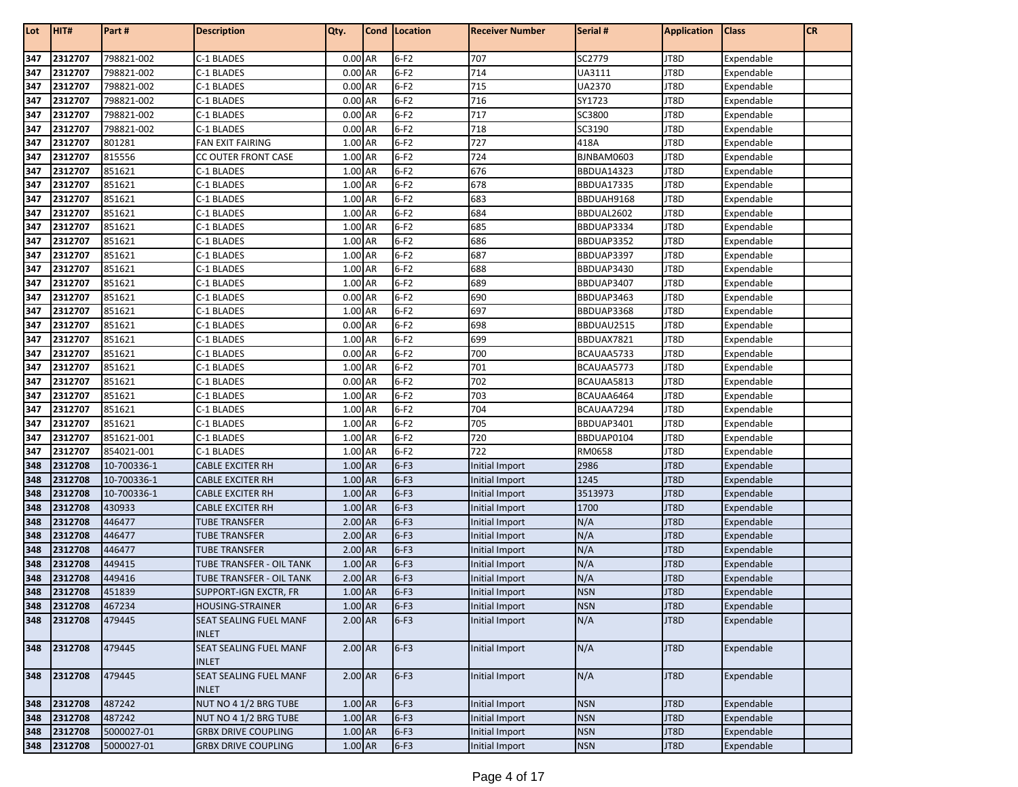| Lot        | HIT#               | Part#       | <b>Description</b>           | Qty.      | Cond   Location | <b>Receiver Number</b> | Serial #          | <b>Application</b> | <b>Class</b>             | <b>CR</b> |
|------------|--------------------|-------------|------------------------------|-----------|-----------------|------------------------|-------------------|--------------------|--------------------------|-----------|
|            |                    | 798821-002  | C-1 BLADES                   | 0.00 AR   | $6-F2$          | 707                    | SC2779            | JT8D               |                          |           |
| 347<br>347 | 2312707<br>2312707 | 798821-002  | C-1 BLADES                   | 0.00 AR   | $6-F2$          | 714                    | UA3111            | JT8D               | Expendable<br>Expendable |           |
| 347        | 2312707            | 798821-002  | C-1 BLADES                   | 0.00 AR   | $6-F2$          | 715                    | UA2370            | JT8D               | Expendable               |           |
| 347        | 2312707            | 798821-002  |                              | 0.00 AR   | $6-F2$          | 716                    | SY1723            | JT8D               | Expendable               |           |
| 347        | 2312707            | 798821-002  | C-1 BLADES<br>C-1 BLADES     | 0.00 AR   | $6-F2$          | 717                    | SC3800            | JT8D               | Expendable               |           |
|            | 2312707            | 798821-002  | C-1 BLADES                   | 0.00 AR   | $6-F2$          | 718                    | SC3190            | JT8D               |                          |           |
| 347<br>347 | 2312707            | 801281      | <b>FAN EXIT FAIRING</b>      | 1.00 AR   | $6-F2$          | 727                    | 418A              | JT8D               | Expendable               |           |
| 347        | 2312707            | 815556      | CC OUTER FRONT CASE          | 1.00 AR   | $6-F2$          | 724                    | BJNBAM0603        | JT8D               | Expendable<br>Expendable |           |
| 347        | 2312707            | 851621      | C-1 BLADES                   | 1.00 AR   | $6-F2$          | 676                    | <b>BBDUA14323</b> | JT8D               | Expendable               |           |
| 347        | 2312707            | 851621      | C-1 BLADES                   | 1.00 AR   | $6-F2$          | 678                    | <b>BBDUA17335</b> | JT8D               | Expendable               |           |
| 347        | 2312707            | 851621      | C-1 BLADES                   | 1.00 AR   | $6-F2$          | 683                    | BBDUAH9168        | JT8D               | Expendable               |           |
| 347        | 2312707            | 851621      | C-1 BLADES                   | 1.00 AR   | $6-F2$          | 684                    | BBDUAL2602        | JT8D               | Expendable               |           |
| 347        | 2312707            | 851621      | C-1 BLADES                   | 1.00 AR   | $6-F2$          | 685                    | BBDUAP3334        | JT8D               | Expendable               |           |
| 347        | 2312707            | 851621      | C-1 BLADES                   | 1.00 AR   | $6-F2$          | 686                    | BBDUAP3352        | JT8D               | Expendable               |           |
| 347        | 2312707            | 851621      | C-1 BLADES                   | 1.00 AR   | $6-F2$          | 687                    | BBDUAP3397        | JT8D               | Expendable               |           |
| 347        | 2312707            | 851621      | C-1 BLADES                   | 1.00 AR   | $6-F2$          | 688                    | BBDUAP3430        | JT8D               | Expendable               |           |
| 347        | 2312707            | 851621      | C-1 BLADES                   | 1.00 AR   | $6-F2$          | 689                    | BBDUAP3407        | JT8D               | Expendable               |           |
| 347        | 2312707            | 851621      | C-1 BLADES                   | 0.00 AR   | $6-F2$          | 690                    | BBDUAP3463        | JT8D               | Expendable               |           |
| 347        | 2312707            | 851621      | C-1 BLADES                   | 1.00 AR   | $6-F2$          | 697                    | BBDUAP3368        | JT8D               | Expendable               |           |
| 347        | 2312707            | 851621      | C-1 BLADES                   | 0.00 AR   | $6-F2$          | 698                    | BBDUAU2515        | JT8D               | Expendable               |           |
| 347        | 2312707            | 851621      | C-1 BLADES                   | 1.00 AR   | $6-F2$          | 699                    | BBDUAX7821        | JT8D               | Expendable               |           |
| 347        | 2312707            | 851621      | C-1 BLADES                   | 0.00 AR   | $6-F2$          | 700                    | BCAUAA5733        | JT8D               | Expendable               |           |
| 347        | 2312707            | 851621      | C-1 BLADES                   | 1.00 AR   | $6-F2$          | 701                    | BCAUAA5773        | JT8D               | Expendable               |           |
| 347        | 2312707            | 851621      | C-1 BLADES                   | 0.00 AR   | $6-F2$          | 702                    | BCAUAA5813        | JT8D               | Expendable               |           |
| 347        | 2312707            | 851621      | C-1 BLADES                   | 1.00 AR   | $6-F2$          | 703                    | BCAUAA6464        | JT8D               | Expendable               |           |
| 347        | 2312707            | 851621      | C-1 BLADES                   | 1.00 AR   | $6-F2$          | 704                    | BCAUAA7294        | JT8D               | Expendable               |           |
| 347        | 2312707            | 851621      | C-1 BLADES                   | 1.00 AR   | $6-F2$          | 705                    | BBDUAP3401        | JT8D               | Expendable               |           |
| 347        | 2312707            | 851621-001  | C-1 BLADES                   | 1.00 AR   | $6-F2$          | 720                    | BBDUAP0104        | JT8D               | Expendable               |           |
| 347        | 2312707            | 854021-001  | C-1 BLADES                   | 1.00 AR   | $6-F2$          | 722                    | RM0658            | JT8D               | Expendable               |           |
| 348        | 2312708            | 10-700336-1 | <b>CABLE EXCITER RH</b>      | 1.00 AR   | $6-F3$          | Initial Import         | 2986              | JT8D               | Expendable               |           |
| 348        | 2312708            | 10-700336-1 | <b>CABLE EXCITER RH</b>      | 1.00 AR   | $6-F3$          | Initial Import         | 1245              | JT8D               | Expendable               |           |
| 348        | 2312708            | 10-700336-1 | <b>CABLE EXCITER RH</b>      | 1.00 AR   | $6-F3$          | Initial Import         | 3513973           | JT8D               | Expendable               |           |
| 348        | 2312708            | 430933      | <b>CABLE EXCITER RH</b>      | 1.00 AR   | $6-F3$          | Initial Import         | 1700              | JT8D               | Expendable               |           |
| 348        | 2312708            | 446477      | <b>TUBE TRANSFER</b>         | $2.00$ AR | $6-F3$          | Initial Import         | N/A               | JT8D               | Expendable               |           |
| 348        | 2312708            | 446477      | TUBE TRANSFER                | 2.00 AR   | $6-F3$          | Initial Import         | N/A               | JT8D               | Expendable               |           |
| 348        | 2312708            | 446477      | TUBE TRANSFER                | $2.00$ AR | $6-F3$          | Initial Import         | N/A               | JT8D               | Expendable               |           |
| 348        | 2312708            | 449415      | TUBE TRANSFER - OIL TANK     | 1.00 AR   | $6-F3$          | Initial Import         | N/A               | JT8D               | Expendable               |           |
| 348        | 2312708            | 449416      | TUBE TRANSFER - OIL TANK     | $2.00$ AR | $6-F3$          | Initial Import         | N/A               | JT8D               | Expendable               |           |
| 348        | 2312708            | 451839      | <b>SUPPORT-IGN EXCTR, FR</b> | 1.00 AR   | $6-F3$          | Initial Import         | <b>NSN</b>        | JT8D               | Expendable               |           |
| 348        | 2312708            | 467234      | <b>HOUSING-STRAINER</b>      | $1.00$ AR | $6-F3$          | Initial Import         | <b>NSN</b>        | JT8D               | Expendable               |           |
| 348        | 2312708            | 479445      | SEAT SEALING FUEL MANF       | $2.00$ AR | $6-F3$          | Initial Import         | N/A               | JT8D               | Expendable               |           |
|            |                    |             | <b>INLET</b>                 |           |                 |                        |                   |                    |                          |           |
| 348        | 2312708            | 479445      | SEAT SEALING FUEL MANF       | $2.00$ AR | $6-F3$          | Initial Import         | N/A               | JT8D               | Expendable               |           |
|            |                    |             | <b>INLET</b>                 |           |                 |                        |                   |                    |                          |           |
| 348        | 2312708            | 479445      | SEAT SEALING FUEL MANF       | $2.00$ AR | $6-F3$          | Initial Import         | N/A               | JT8D               | Expendable               |           |
|            |                    |             | <b>INLET</b>                 |           |                 |                        |                   |                    |                          |           |
| 348        | 2312708            | 487242      | NUT NO 4 1/2 BRG TUBE        | 1.00 AR   | $6-F3$          | Initial Import         | <b>NSN</b>        | JT8D               | Expendable               |           |
| 348        | 2312708            | 487242      | NUT NO 4 1/2 BRG TUBE        | 1.00 AR   | $6-F3$          | Initial Import         | <b>NSN</b>        | JT8D               | Expendable               |           |
| 348        | 2312708            | 5000027-01  | <b>GRBX DRIVE COUPLING</b>   | 1.00 AR   | $6-F3$          | Initial Import         | <b>NSN</b>        | JT8D               | Expendable               |           |
| 348        | 2312708            | 5000027-01  | <b>GRBX DRIVE COUPLING</b>   | 1.00 AR   | $6-F3$          | Initial Import         | <b>NSN</b>        | JT8D               | Expendable               |           |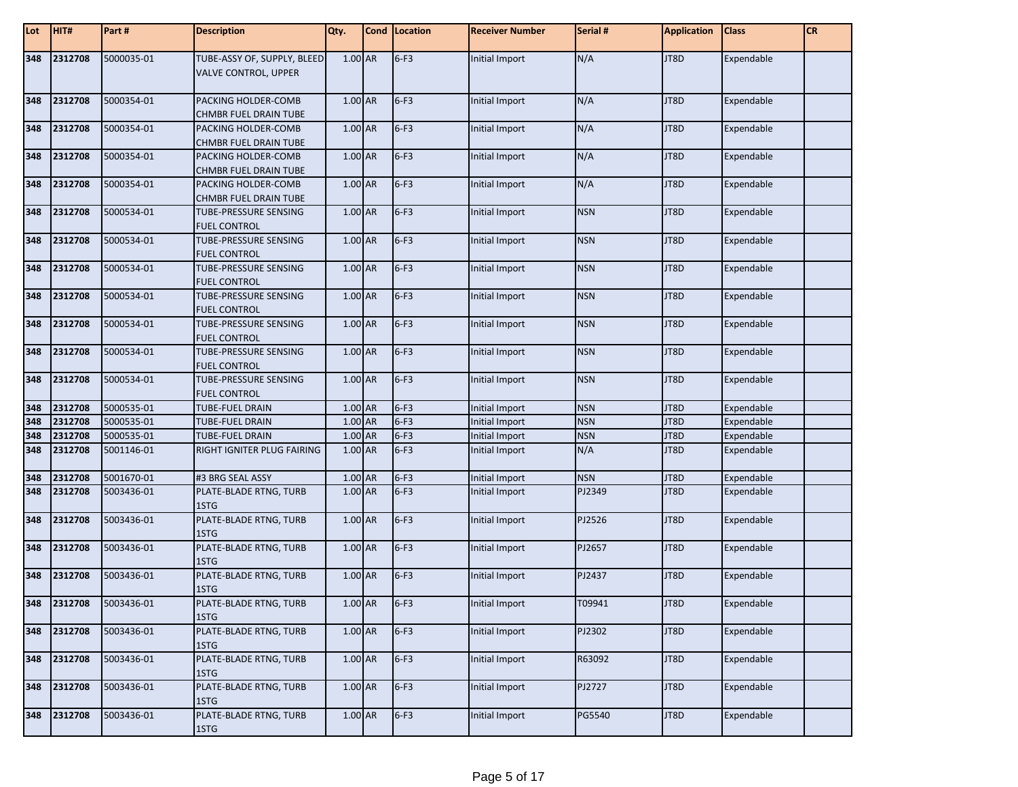| Lot | HIT#    | Part#      | <b>Description</b>                                         | Qty.      | Cond   Location | <b>Receiver Number</b> | Serial #   | <b>Application</b> | <b>Class</b> | CR |
|-----|---------|------------|------------------------------------------------------------|-----------|-----------------|------------------------|------------|--------------------|--------------|----|
| 348 | 2312708 | 5000035-01 | TUBE-ASSY OF, SUPPLY, BLEED<br><b>VALVE CONTROL, UPPER</b> | 1.00 AR   | $6-F3$          | Initial Import         | N/A        | JT8D               | Expendable   |    |
| 348 | 2312708 | 5000354-01 | <b>PACKING HOLDER-COMB</b><br>CHMBR FUEL DRAIN TUBE        | 1.00 AR   | $6-F3$          | Initial Import         | N/A        | JT8D               | Expendable   |    |
| 348 | 2312708 | 5000354-01 | PACKING HOLDER-COMB<br><b>CHMBR FUEL DRAIN TUBE</b>        | 1.00 AR   | $6-F3$          | Initial Import         | N/A        | JT8D               | Expendable   |    |
| 348 | 2312708 | 5000354-01 | PACKING HOLDER-COMB<br><b>CHMBR FUEL DRAIN TUBE</b>        | 1.00 AR   | $6-F3$          | Initial Import         | N/A        | JT8D               | Expendable   |    |
| 348 | 2312708 | 5000354-01 | PACKING HOLDER-COMB<br>CHMBR FUEL DRAIN TUBE               | 1.00 AR   | $6-F3$          | Initial Import         | N/A        | JT8D               | Expendable   |    |
| 348 | 2312708 | 5000534-01 | TUBE-PRESSURE SENSING<br><b>FUEL CONTROL</b>               | 1.00 AR   | $6-F3$          | Initial Import         | <b>NSN</b> | JT8D               | Expendable   |    |
| 348 | 2312708 | 5000534-01 | TUBE-PRESSURE SENSING<br><b>FUEL CONTROL</b>               | 1.00 AR   | $6-F3$          | Initial Import         | <b>NSN</b> | JT8D               | Expendable   |    |
| 348 | 2312708 | 5000534-01 | TUBE-PRESSURE SENSING<br><b>FUEL CONTROL</b>               | 1.00 AR   | $6-F3$          | Initial Import         | <b>NSN</b> | JT8D               | Expendable   |    |
| 348 | 2312708 | 5000534-01 | TUBE-PRESSURE SENSING<br><b>FUEL CONTROL</b>               | 1.00 AR   | $6-F3$          | Initial Import         | <b>NSN</b> | JT8D               | Expendable   |    |
| 348 | 2312708 | 5000534-01 | TUBE-PRESSURE SENSING<br><b>FUEL CONTROL</b>               | 1.00 AR   | $6-F3$          | Initial Import         | <b>NSN</b> | JT8D               | Expendable   |    |
| 348 | 2312708 | 5000534-01 | TUBE-PRESSURE SENSING<br><b>FUEL CONTROL</b>               | 1.00 AR   | $6-F3$          | Initial Import         | <b>NSN</b> | JT8D               | Expendable   |    |
| 348 | 2312708 | 5000534-01 | TUBE-PRESSURE SENSING<br><b>FUEL CONTROL</b>               | 1.00 AR   | $6-F3$          | Initial Import         | <b>NSN</b> | JT8D               | Expendable   |    |
| 348 | 2312708 | 5000535-01 | TUBE-FUEL DRAIN                                            | $1.00$ AR | $6-F3$          | Initial Import         | <b>NSN</b> | JT8D               | Expendable   |    |
| 348 | 2312708 | 5000535-01 | TUBE-FUEL DRAIN                                            | 1.00 AR   | $6-F3$          | Initial Import         | <b>NSN</b> | JT8D               | Expendable   |    |
| 348 | 2312708 | 5000535-01 | <b>TUBE-FUEL DRAIN</b>                                     | 1.00 AR   | $6-F3$          | Initial Import         | <b>NSN</b> | JT8D               | Expendable   |    |
| 348 | 2312708 | 5001146-01 | RIGHT IGNITER PLUG FAIRING                                 | 1.00 AR   | $6-F3$          | Initial Import         | N/A        | JT8D               | Expendable   |    |
| 348 | 2312708 | 5001670-01 | #3 BRG SEAL ASSY                                           | 1.00 AR   | $6-F3$          | Initial Import         | <b>NSN</b> | JT8D               | Expendable   |    |
| 348 | 2312708 | 5003436-01 | PLATE-BLADE RTNG, TURB<br>1STG                             | 1.00 AR   | $6-F3$          | Initial Import         | PJ2349     | JT8D               | Expendable   |    |
| 348 | 2312708 | 5003436-01 | PLATE-BLADE RTNG, TURB<br>1STG                             | 1.00 AR   | $6-F3$          | Initial Import         | PJ2526     | JT8D               | Expendable   |    |
| 348 | 2312708 | 5003436-01 | PLATE-BLADE RTNG, TURB<br>1STG                             | 1.00 AR   | $6-F3$          | Initial Import         | PJ2657     | JT8D               | Expendable   |    |
| 348 | 2312708 | 5003436-01 | PLATE-BLADE RTNG, TURB<br>1STG                             | 1.00 AR   | $6-F3$          | Initial Import         | PJ2437     | JT8D               | Expendable   |    |
| 348 | 2312708 | 5003436-01 | PLATE-BLADE RTNG, TURB<br>1STG                             | $1.00$ AR | $6-F3$          | <b>Initial Import</b>  | T09941     | JT8D               | Expendable   |    |
| 348 | 2312708 | 5003436-01 | PLATE-BLADE RTNG, TURB<br>1STG                             | 1.00 AR   | $6-F3$          | Initial Import         | PJ2302     | JT8D               | Expendable   |    |
| 348 | 2312708 | 5003436-01 | PLATE-BLADE RTNG, TURB<br>1STG                             | 1.00 AR   | $6-F3$          | Initial Import         | R63092     | JT8D               | Expendable   |    |
| 348 | 2312708 | 5003436-01 | PLATE-BLADE RTNG, TURB<br>1STG                             | 1.00 AR   | $6-F3$          | Initial Import         | PJ2727     | JT8D               | Expendable   |    |
| 348 | 2312708 | 5003436-01 | PLATE-BLADE RTNG, TURB<br>1STG                             | 1.00 AR   | $6-F3$          | Initial Import         | PG5540     | JT8D               | Expendable   |    |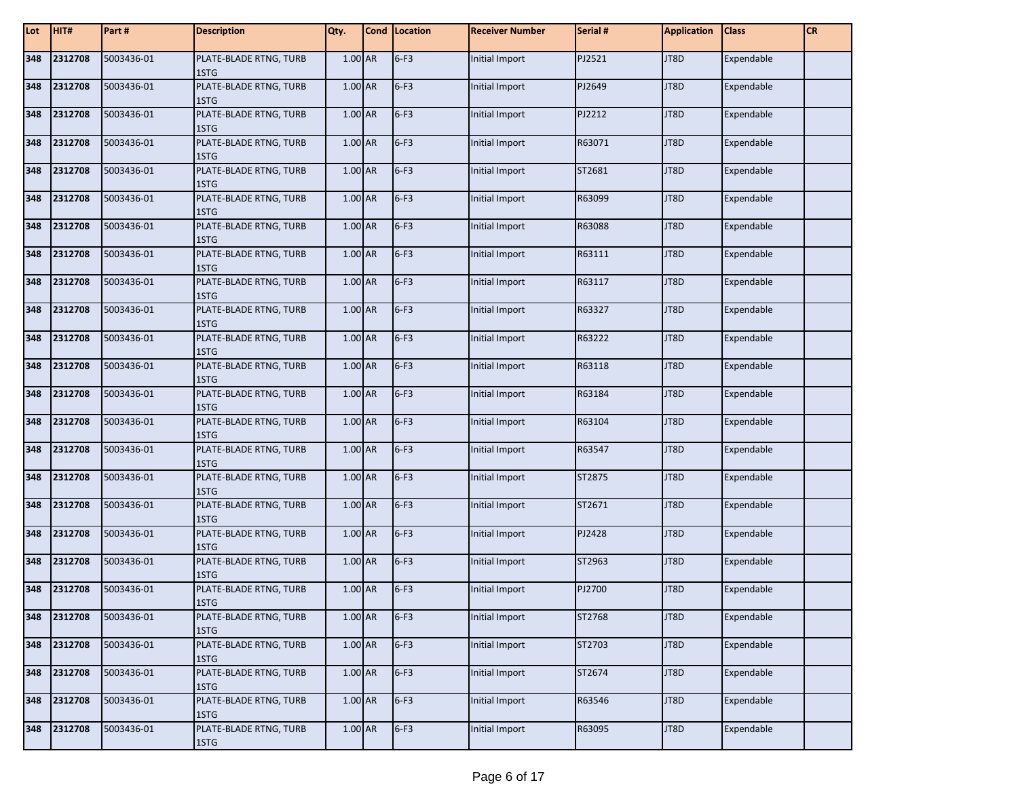| Lot | HIT#    | Part#      | <b>Description</b>             | Qty.    | Cond Location | <b>Receiver Number</b> | Serial # | <b>Application</b> | <b>Class</b> | <b>CR</b> |
|-----|---------|------------|--------------------------------|---------|---------------|------------------------|----------|--------------------|--------------|-----------|
| 348 | 2312708 | 5003436-01 | PLATE-BLADE RTNG, TURB<br>1STG | 1.00 AR | $6-F3$        | Initial Import         | PJ2521   | JT8D               | Expendable   |           |
| 348 | 2312708 | 5003436-01 | PLATE-BLADE RTNG, TURB<br>1STG | 1.00 AR | $6-F3$        | Initial Import         | PJ2649   | JT8D               | Expendable   |           |
| 348 | 2312708 | 5003436-01 | PLATE-BLADE RTNG, TURB<br>1STG | 1.00 AR | $6-F3$        | Initial Import         | PJ2212   | JT8D               | Expendable   |           |
| 348 | 2312708 | 5003436-01 | PLATE-BLADE RTNG, TURB<br>1STG | 1.00 AR | $6-F3$        | Initial Import         | R63071   | JT8D               | Expendable   |           |
| 348 | 2312708 | 5003436-01 | PLATE-BLADE RTNG, TURB<br>1STG | 1.00 AR | $6-F3$        | Initial Import         | ST2681   | JT8D               | Expendable   |           |
| 348 | 2312708 | 5003436-01 | PLATE-BLADE RTNG, TURB<br>1STG | 1.00 AR | $6-F3$        | Initial Import         | R63099   | JT8D               | Expendable   |           |
| 348 | 2312708 | 5003436-01 | PLATE-BLADE RTNG, TURB<br>1STG | 1.00 AR | $6-F3$        | Initial Import         | R63088   | JT8D               | Expendable   |           |
| 348 | 2312708 | 5003436-01 | PLATE-BLADE RTNG, TURB<br>1STG | 1.00 AR | $6-F3$        | Initial Import         | R63111   | JT8D               | Expendable   |           |
| 348 | 2312708 | 5003436-01 | PLATE-BLADE RTNG, TURB<br>1STG | 1.00 AR | $6-F3$        | Initial Import         | R63117   | JT8D               | Expendable   |           |
| 348 | 2312708 | 5003436-01 | PLATE-BLADE RTNG, TURB<br>1STG | 1.00 AR | $6-F3$        | Initial Import         | R63327   | JT8D               | Expendable   |           |
| 348 | 2312708 | 5003436-01 | PLATE-BLADE RTNG, TURB<br>1STG | 1.00 AR | $6-F3$        | Initial Import         | R63222   | JT8D               | Expendable   |           |
| 348 | 2312708 | 5003436-01 | PLATE-BLADE RTNG, TURB<br>1STG | 1.00 AR | $6-F3$        | Initial Import         | R63118   | JT8D               | Expendable   |           |
| 348 | 2312708 | 5003436-01 | PLATE-BLADE RTNG, TURB<br>1STG | 1.00 AR | $6-F3$        | Initial Import         | R63184   | JT8D               | Expendable   |           |
| 348 | 2312708 | 5003436-01 | PLATE-BLADE RTNG, TURB<br>1STG | 1.00 AR | $6-F3$        | Initial Import         | R63104   | JT8D               | Expendable   |           |
| 348 | 2312708 | 5003436-01 | PLATE-BLADE RTNG, TURB<br>1STG | 1.00 AR | $6-F3$        | Initial Import         | R63547   | JT8D               | Expendable   |           |
| 348 | 2312708 | 5003436-01 | PLATE-BLADE RTNG, TURB<br>1STG | 1.00 AR | $6-F3$        | Initial Import         | ST2875   | JT8D               | Expendable   |           |
| 348 | 2312708 | 5003436-01 | PLATE-BLADE RTNG, TURB<br>1STG | 1.00 AR | $6-F3$        | Initial Import         | ST2671   | JT8D               | Expendable   |           |
| 348 | 2312708 | 5003436-01 | PLATE-BLADE RTNG, TURB<br>1STG | 1.00 AR | $6-F3$        | Initial Import         | PJ2428   | JT8D               | Expendable   |           |
| 348 | 2312708 | 5003436-01 | PLATE-BLADE RTNG, TURB<br>1STG | 1.00 AR | $6-F3$        | Initial Import         | ST2963   | JT8D               | Expendable   |           |
| 348 | 2312708 | 5003436-01 | PLATE-BLADE RTNG, TURB<br>1STG | 1.00 AR | $6-F3$        | Initial Import         | PJ2700   | JT8D               | Expendable   |           |
| 348 | 2312708 | 5003436-01 | PLATE-BLADE RTNG, TURB<br>1STG | 1.00 AR | $6-F3$        | Initial Import         | ST2768   | JT8D               | Expendable   |           |
| 348 | 2312708 | 5003436-01 | PLATE-BLADE RTNG, TURB<br>1STG | 1.00 AR | $6-F3$        | Initial Import         | ST2703   | JT8D               | Expendable   |           |
| 348 | 2312708 | 5003436-01 | PLATE-BLADE RTNG, TURB<br>1STG | 1.00 AR | $6-F3$        | Initial Import         | ST2674   | JT8D               | Expendable   |           |
| 348 | 2312708 | 5003436-01 | PLATE-BLADE RTNG, TURB<br>1STG | 1.00 AR | $6-F3$        | Initial Import         | R63546   | JT8D               | Expendable   |           |
| 348 | 2312708 | 5003436-01 | PLATE-BLADE RTNG, TURB<br>1STG | 1.00 AR | $6-F3$        | Initial Import         | R63095   | JT8D               | Expendable   |           |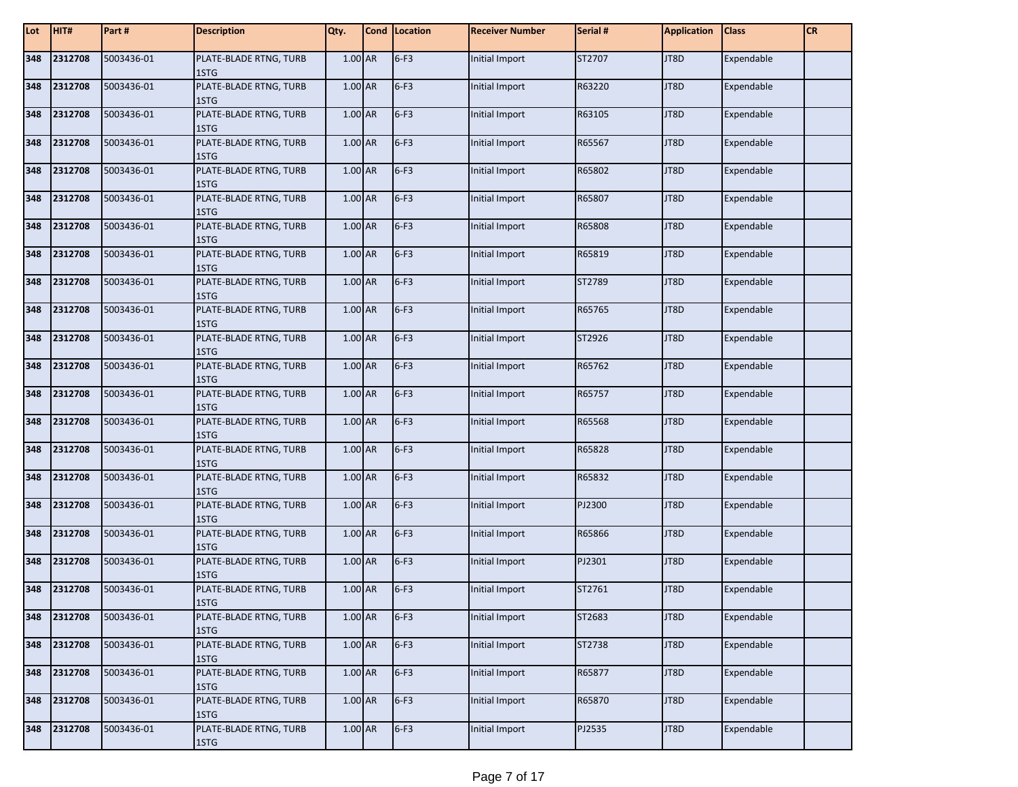| Lot | HIT#    | Part#      | <b>Description</b>             | Qty.    | Cond   Location | <b>Receiver Number</b> | Serial # | <b>Application</b> | <b>Class</b> | <b>CR</b> |
|-----|---------|------------|--------------------------------|---------|-----------------|------------------------|----------|--------------------|--------------|-----------|
| 348 | 2312708 | 5003436-01 | PLATE-BLADE RTNG, TURB<br>1STG | 1.00 AR | $6-F3$          | Initial Import         | ST2707   | JT8D               | Expendable   |           |
| 348 | 2312708 | 5003436-01 | PLATE-BLADE RTNG, TURB<br>1STG | 1.00 AR | $6-F3$          | Initial Import         | R63220   | JT8D               | Expendable   |           |
| 348 | 2312708 | 5003436-01 | PLATE-BLADE RTNG, TURB<br>1STG | 1.00 AR | $6-F3$          | Initial Import         | R63105   | JT8D               | Expendable   |           |
| 348 | 2312708 | 5003436-01 | PLATE-BLADE RTNG, TURB<br>1STG | 1.00 AR | $6-F3$          | Initial Import         | R65567   | JT8D               | Expendable   |           |
| 348 | 2312708 | 5003436-01 | PLATE-BLADE RTNG, TURB<br>1STG | 1.00 AR | $6-F3$          | Initial Import         | R65802   | JT8D               | Expendable   |           |
| 348 | 2312708 | 5003436-01 | PLATE-BLADE RTNG, TURB<br>1STG | 1.00 AR | $6-F3$          | Initial Import         | R65807   | JT8D               | Expendable   |           |
| 348 | 2312708 | 5003436-01 | PLATE-BLADE RTNG, TURB<br>1STG | 1.00 AR | $6-F3$          | Initial Import         | R65808   | JT8D               | Expendable   |           |
| 348 | 2312708 | 5003436-01 | PLATE-BLADE RTNG, TURB<br>1STG | 1.00 AR | $6-F3$          | Initial Import         | R65819   | JT8D               | Expendable   |           |
| 348 | 2312708 | 5003436-01 | PLATE-BLADE RTNG, TURB<br>1STG | 1.00 AR | $6-F3$          | Initial Import         | ST2789   | JT8D               | Expendable   |           |
| 348 | 2312708 | 5003436-01 | PLATE-BLADE RTNG, TURB<br>1STG | 1.00 AR | $6-F3$          | Initial Import         | R65765   | JT8D               | Expendable   |           |
| 348 | 2312708 | 5003436-01 | PLATE-BLADE RTNG, TURB<br>1STG | 1.00 AR | $6-F3$          | Initial Import         | ST2926   | JT8D               | Expendable   |           |
| 348 | 2312708 | 5003436-01 | PLATE-BLADE RTNG, TURB<br>1STG | 1.00 AR | $6-F3$          | Initial Import         | R65762   | JT8D               | Expendable   |           |
| 348 | 2312708 | 5003436-01 | PLATE-BLADE RTNG, TURB<br>1STG | 1.00 AR | $6-F3$          | Initial Import         | R65757   | JT8D               | Expendable   |           |
| 348 | 2312708 | 5003436-01 | PLATE-BLADE RTNG, TURB<br>1STG | 1.00 AR | $6-F3$          | Initial Import         | R65568   | JT8D               | Expendable   |           |
| 348 | 2312708 | 5003436-01 | PLATE-BLADE RTNG, TURB<br>1STG | 1.00 AR | $6-F3$          | Initial Import         | R65828   | JT8D               | Expendable   |           |
| 348 | 2312708 | 5003436-01 | PLATE-BLADE RTNG, TURB<br>1STG | 1.00 AR | $6-F3$          | Initial Import         | R65832   | JT8D               | Expendable   |           |
| 348 | 2312708 | 5003436-01 | PLATE-BLADE RTNG, TURB<br>1STG | 1.00 AR | $6-F3$          | Initial Import         | PJ2300   | JT8D               | Expendable   |           |
| 348 | 2312708 | 5003436-01 | PLATE-BLADE RTNG, TURB<br>1STG | 1.00 AR | $6-F3$          | Initial Import         | R65866   | JT8D               | Expendable   |           |
| 348 | 2312708 | 5003436-01 | PLATE-BLADE RTNG, TURB<br>1STG | 1.00 AR | $6-F3$          | Initial Import         | PJ2301   | JT8D               | Expendable   |           |
| 348 | 2312708 | 5003436-01 | PLATE-BLADE RTNG, TURB<br>1STG | 1.00 AR | $6-F3$          | Initial Import         | ST2761   | JT8D               | Expendable   |           |
| 348 | 2312708 | 5003436-01 | PLATE-BLADE RTNG, TURB<br>1STG | 1.00 AR | $6-F3$          | Initial Import         | ST2683   | JT8D               | Expendable   |           |
| 348 | 2312708 | 5003436-01 | PLATE-BLADE RTNG, TURB<br>1STG | 1.00 AR | $6-F3$          | Initial Import         | ST2738   | JT8D               | Expendable   |           |
| 348 | 2312708 | 5003436-01 | PLATE-BLADE RTNG, TURB<br>1STG | 1.00 AR | $6-F3$          | Initial Import         | R65877   | JT8D               | Expendable   |           |
| 348 | 2312708 | 5003436-01 | PLATE-BLADE RTNG, TURB<br>1STG | 1.00 AR | $6-F3$          | Initial Import         | R65870   | JT8D               | Expendable   |           |
| 348 | 2312708 | 5003436-01 | PLATE-BLADE RTNG, TURB<br>1STG | 1.00 AR | $6-F3$          | Initial Import         | PJ2535   | JT8D               | Expendable   |           |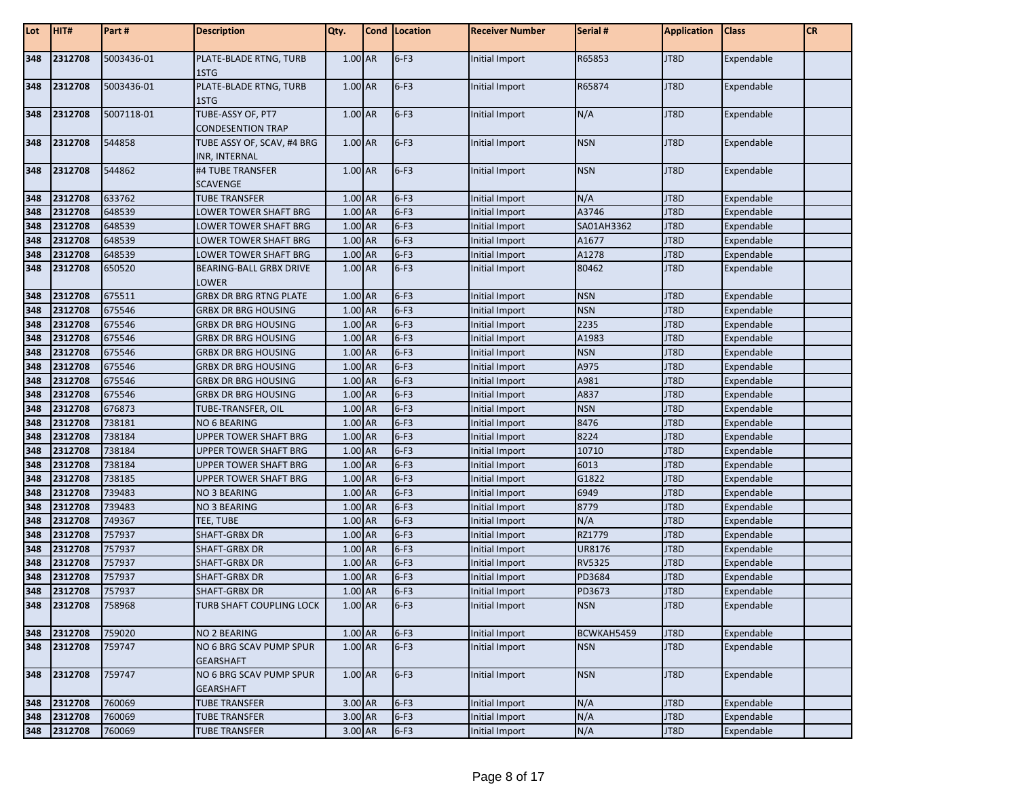| Lot | HIT#    | Part#      | <b>Description</b>                            | Qty.      | <b>Cond   Location</b> | <b>Receiver Number</b> | Serial #      | <b>Application</b> | <b>Class</b> | <b>CR</b> |
|-----|---------|------------|-----------------------------------------------|-----------|------------------------|------------------------|---------------|--------------------|--------------|-----------|
| 348 | 2312708 | 5003436-01 | PLATE-BLADE RTNG, TURB<br>1STG                | 1.00 AR   | $6-F3$                 | Initial Import         | R65853        | JT8D               | Expendable   |           |
| 348 | 2312708 | 5003436-01 | PLATE-BLADE RTNG, TURB<br>1STG                | $1.00$ AR | $6-F3$                 | Initial Import         | R65874        | JT8D               | Expendable   |           |
| 348 | 2312708 | 5007118-01 | TUBE-ASSY OF, PT7<br><b>CONDESENTION TRAP</b> | 1.00 AR   | $6-F3$                 | Initial Import         | N/A           | JT8D               | Expendable   |           |
| 348 | 2312708 | 544858     | TUBE ASSY OF, SCAV, #4 BRG<br>INR, INTERNAL   | 1.00 AR   | $6-F3$                 | Initial Import         | <b>NSN</b>    | JT8D               | Expendable   |           |
| 348 | 2312708 | 544862     | #4 TUBE TRANSFER<br><b>SCAVENGE</b>           | 1.00 AR   | $6-F3$                 | Initial Import         | <b>NSN</b>    | JT8D               | Expendable   |           |
| 348 | 2312708 | 633762     | <b>TUBE TRANSFER</b>                          | 1.00 AR   | $6-F3$                 | Initial Import         | N/A           | JT8D               | Expendable   |           |
| 348 | 2312708 | 648539     | LOWER TOWER SHAFT BRG                         | 1.00 AR   | $6-F3$                 | <b>Initial Import</b>  | A3746         | JT8D               | Expendable   |           |
| 348 | 2312708 | 648539     | LOWER TOWER SHAFT BRG                         | 1.00 AR   | $6-F3$                 | Initial Import         | SA01AH3362    | JT8D               | Expendable   |           |
| 348 | 2312708 | 648539     | LOWER TOWER SHAFT BRG                         | 1.00 AR   | $6-F3$                 | Initial Import         | A1677         | JT8D               | Expendable   |           |
| 348 | 2312708 | 648539     | LOWER TOWER SHAFT BRG                         | 1.00 AR   | $6-F3$                 | <b>Initial Import</b>  | A1278         | JT8D               | Expendable   |           |
| 348 | 2312708 | 650520     | BEARING-BALL GRBX DRIVE<br>LOWER              | 1.00 AR   | $6-F3$                 | Initial Import         | 80462         | JT8D               | Expendable   |           |
| 348 | 2312708 | 675511     | <b>GRBX DR BRG RTNG PLATE</b>                 | 1.00 AR   | $6-F3$                 | Initial Import         | <b>NSN</b>    | JT8D               | Expendable   |           |
| 348 | 2312708 | 675546     | GRBX DR BRG HOUSING                           | $1.00$ AR | $6-F3$                 | Initial Import         | <b>NSN</b>    | JT8D               | Expendable   |           |
| 348 | 2312708 | 675546     | <b>GRBX DR BRG HOUSING</b>                    | 1.00 AR   | $6-F3$                 | Initial Import         | 2235          | JT8D               | Expendable   |           |
| 348 | 2312708 | 675546     | <b>GRBX DR BRG HOUSING</b>                    | 1.00 AR   | $6-F3$                 | Initial Import         | A1983         | JT8D               | Expendable   |           |
| 348 | 2312708 | 675546     | GRBX DR BRG HOUSING                           | 1.00 AR   | $6-F3$                 | Initial Import         | <b>NSN</b>    | JT8D               | Expendable   |           |
| 348 | 2312708 | 675546     | <b>GRBX DR BRG HOUSING</b>                    | $1.00$ AR | $6-F3$                 | Initial Import         | A975          | JT8D               | Expendable   |           |
| 348 | 2312708 | 675546     | <b>GRBX DR BRG HOUSING</b>                    | $1.00$ AR | $6-F3$                 | Initial Import         | A981          | JT8D               | Expendable   |           |
| 348 | 2312708 | 675546     | <b>GRBX DR BRG HOUSING</b>                    | $1.00$ AR | $6-F3$                 | Initial Import         | A837          | JT8D               | Expendable   |           |
| 348 | 2312708 | 676873     | TUBE-TRANSFER, OIL                            | 1.00 AR   | $6-F3$                 | Initial Import         | <b>NSN</b>    | JT8D               | Expendable   |           |
| 348 | 2312708 | 738181     | NO 6 BEARING                                  | 1.00 AR   | $6-F3$                 | Initial Import         | 8476          | JT8D               | Expendable   |           |
| 348 | 2312708 | 738184     | <b>UPPER TOWER SHAFT BRG</b>                  | 1.00 AR   | $6-F3$                 | <b>Initial Import</b>  | 8224          | JT8D               | Expendable   |           |
| 348 | 2312708 | 738184     | UPPER TOWER SHAFT BRG                         | 1.00 AR   | $6-F3$                 | Initial Import         | 10710         | JT8D               | Expendable   |           |
| 348 | 2312708 | 738184     | UPPER TOWER SHAFT BRG                         | 1.00 AR   | $6-F3$                 | Initial Import         | 6013          | JT8D               | Expendable   |           |
| 348 | 2312708 | 738185     | UPPER TOWER SHAFT BRG                         | 1.00 AR   | $6-F3$                 | Initial Import         | G1822         | JT8D               | Expendable   |           |
| 348 | 2312708 | 739483     | <b>NO 3 BEARING</b>                           | 1.00 AR   | $6-F3$                 | Initial Import         | 6949          | JT8D               | Expendable   |           |
| 348 | 2312708 | 739483     | NO 3 BEARING                                  | 1.00 AR   | $6-F3$                 | Initial Import         | 8779          | JT8D               | Expendable   |           |
| 348 | 2312708 | 749367     | TEE, TUBE                                     | 1.00 AR   | $6-F3$                 | <b>Initial Import</b>  | N/A           | JT8D               | Expendable   |           |
| 348 | 2312708 | 757937     | SHAFT-GRBX DR                                 | 1.00 AR   | $6-F3$                 | Initial Import         | RZ1779        | JT8D               | Expendable   |           |
| 348 | 2312708 | 757937     | SHAFT-GRBX DR                                 | 1.00 AR   | $6-F3$                 | Initial Import         | <b>UR8176</b> | JT8D               | Expendable   |           |
| 348 | 2312708 | 757937     | <b>SHAFT-GRBX DR</b>                          | 1.00 AR   | $6-F3$                 | Initial Import         | <b>RV5325</b> | JT8D               | Expendable   |           |
| 348 | 2312708 | 757937     | <b>SHAFT-GRBX DR</b>                          | 1.00 AR   | $6-F3$                 | Initial Import         | PD3684        | JT8D               | Expendable   |           |
| 348 | 2312708 | 757937     | SHAFT-GRBX DR                                 | 1.00 AR   | $6-F3$                 | Initial Import         | PD3673        | JT8D               | Expendable   |           |
| 348 | 2312708 | 758968     | TURB SHAFT COUPLING LOCK                      | 1.00 AR   | $6-F3$                 | Initial Import         | <b>NSN</b>    | JT8D               | Expendable   |           |
| 348 | 2312708 | 759020     | <b>NO 2 BEARING</b>                           | $1.00$ AR | $6-F3$                 | Initial Import         | BCWKAH5459    | JT8D               | Expendable   |           |
| 348 | 2312708 | 759747     | NO 6 BRG SCAV PUMP SPUR<br><b>GEARSHAFT</b>   | 1.00 AR   | $6-F3$                 | Initial Import         | <b>NSN</b>    | JT8D               | Expendable   |           |
| 348 | 2312708 | 759747     | NO 6 BRG SCAV PUMP SPUR<br><b>GEARSHAFT</b>   | 1.00 AR   | $6-F3$                 | Initial Import         | <b>NSN</b>    | JT8D               | Expendable   |           |
| 348 | 2312708 | 760069     | <b>TUBE TRANSFER</b>                          | 3.00 AR   | $6-F3$                 | Initial Import         | N/A           | JT8D               | Expendable   |           |
| 348 | 2312708 | 760069     | TUBE TRANSFER                                 | 3.00 AR   | $6-F3$                 | Initial Import         | N/A           | JT8D               | Expendable   |           |
| 348 | 2312708 | 760069     | <b>TUBE TRANSFER</b>                          | 3.00 AR   | $6-F3$                 | Initial Import         | N/A           | JT8D               | Expendable   |           |
|     |         |            |                                               |           |                        |                        |               |                    |              |           |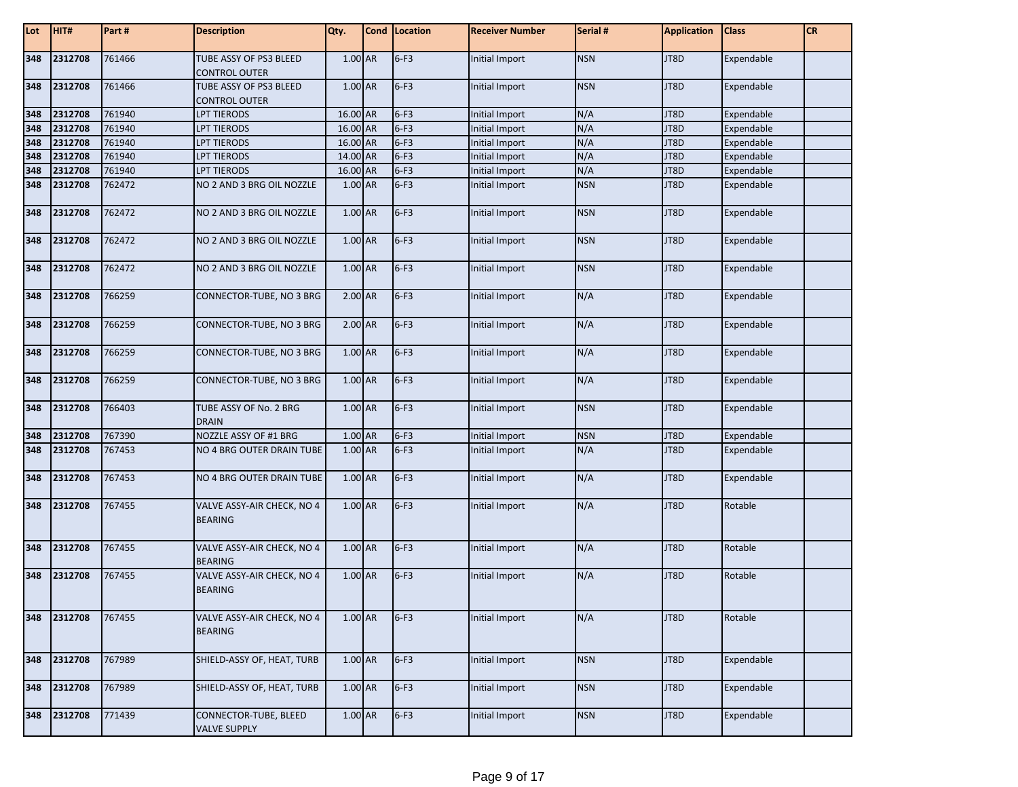| Lot | HIT#    | Part#  | <b>Description</b>                             | Qty.      | Cond   Location | <b>Receiver Number</b> | Serial #   | <b>Application</b> | <b>Class</b> | <b>CR</b> |
|-----|---------|--------|------------------------------------------------|-----------|-----------------|------------------------|------------|--------------------|--------------|-----------|
| 348 | 2312708 | 761466 | TUBE ASSY OF PS3 BLEED<br><b>CONTROL OUTER</b> | 1.00 AR   | $6-F3$          | Initial Import         | <b>NSN</b> | JT8D               | Expendable   |           |
| 348 | 2312708 | 761466 | TUBE ASSY OF PS3 BLEED<br><b>CONTROL OUTER</b> | 1.00 AR   | $6-F3$          | Initial Import         | <b>NSN</b> | JT8D               | Expendable   |           |
| 348 | 2312708 | 761940 | <b>LPT TIERODS</b>                             | 16.00 AR  | $6-F3$          | Initial Import         | N/A        | JT8D               | Expendable   |           |
| 348 | 2312708 | 761940 | <b>LPT TIERODS</b>                             | 16.00 AR  | $6-F3$          | Initial Import         | N/A        | JT8D               | Expendable   |           |
| 348 | 2312708 | 761940 | <b>LPT TIERODS</b>                             | 16.00 AR  | $6-F3$          | Initial Import         | N/A        | JT8D               | Expendable   |           |
| 348 | 2312708 | 761940 | <b>LPT TIERODS</b>                             | 14.00 AR  | $6-F3$          | Initial Import         | N/A        | JT8D               | Expendable   |           |
| 348 | 2312708 | 761940 | <b>LPT TIERODS</b>                             | 16.00 AR  | $6-F3$          | Initial Import         | N/A        | JT8D               | Expendable   |           |
| 348 | 2312708 | 762472 | NO 2 AND 3 BRG OIL NOZZLE                      | 1.00 AR   | $6-F3$          | <b>Initial Import</b>  | <b>NSN</b> | JT8D               | Expendable   |           |
| 348 | 2312708 | 762472 | NO 2 AND 3 BRG OIL NOZZLE                      | 1.00 AR   | $6-F3$          | Initial Import         | <b>NSN</b> | JT8D               | Expendable   |           |
| 348 | 2312708 | 762472 | NO 2 AND 3 BRG OIL NOZZLE                      | 1.00 AR   | $6-F3$          | Initial Import         | <b>NSN</b> | JT8D               | Expendable   |           |
| 348 | 2312708 | 762472 | NO 2 AND 3 BRG OIL NOZZLE                      | 1.00 AR   | $6-F3$          | Initial Import         | <b>NSN</b> | JT8D               | Expendable   |           |
| 348 | 2312708 | 766259 | CONNECTOR-TUBE, NO 3 BRG                       | $2.00$ AR | $6-F3$          | Initial Import         | N/A        | JT8D               | Expendable   |           |
| 348 | 2312708 | 766259 | CONNECTOR-TUBE, NO 3 BRG                       | $2.00$ AR | $6-F3$          | Initial Import         | N/A        | JT8D               | Expendable   |           |
| 348 | 2312708 | 766259 | CONNECTOR-TUBE, NO 3 BRG                       | 1.00 AR   | $6-F3$          | Initial Import         | N/A        | JT8D               | Expendable   |           |
| 348 | 2312708 | 766259 | CONNECTOR-TUBE, NO 3 BRG                       | 1.00 AR   | $6-F3$          | Initial Import         | N/A        | JT8D               | Expendable   |           |
| 348 | 2312708 | 766403 | TUBE ASSY OF No. 2 BRG<br><b>DRAIN</b>         | 1.00 AR   | $6-F3$          | Initial Import         | <b>NSN</b> | JT8D               | Expendable   |           |
| 348 | 2312708 | 767390 | NOZZLE ASSY OF #1 BRG                          | 1.00 AR   | $6-F3$          | Initial Import         | <b>NSN</b> | JT8D               | Expendable   |           |
| 348 | 2312708 | 767453 | NO 4 BRG OUTER DRAIN TUBE                      | 1.00 AR   | $6-F3$          | Initial Import         | N/A        | JT8D               | Expendable   |           |
| 348 | 2312708 | 767453 | NO 4 BRG OUTER DRAIN TUBE                      | 1.00 AR   | $6-F3$          | Initial Import         | N/A        | JT8D               | Expendable   |           |
| 348 | 2312708 | 767455 | VALVE ASSY-AIR CHECK, NO 4<br><b>BEARING</b>   | 1.00 AR   | $6-F3$          | Initial Import         | N/A        | JT8D               | Rotable      |           |
| 348 | 2312708 | 767455 | VALVE ASSY-AIR CHECK, NO 4<br><b>BEARING</b>   | 1.00 AR   | $6-F3$          | Initial Import         | N/A        | JT8D               | Rotable      |           |
| 348 | 2312708 | 767455 | VALVE ASSY-AIR CHECK, NO 4<br><b>BEARING</b>   | 1.00 AR   | $6-F3$          | Initial Import         | N/A        | JT8D               | Rotable      |           |
| 348 | 2312708 | 767455 | VALVE ASSY-AIR CHECK, NO 4<br><b>BEARING</b>   | 1.00 AR   | $6-F3$          | Initial Import         | N/A        | JT8D               | Rotable      |           |
| 348 | 2312708 | 767989 | SHIELD-ASSY OF, HEAT, TURB                     | 1.00 AR   | $6-F3$          | Initial Import         | <b>NSN</b> | JT8D               | Expendable   |           |
| 348 | 2312708 | 767989 | SHIELD-ASSY OF, HEAT, TURB                     | 1.00 AR   | $6-F3$          | Initial Import         | <b>NSN</b> | JT8D               | Expendable   |           |
| 348 | 2312708 | 771439 | CONNECTOR-TUBE, BLEED<br><b>VALVE SUPPLY</b>   | 1.00 AR   | $6-F3$          | Initial Import         | <b>NSN</b> | JT8D               | Expendable   |           |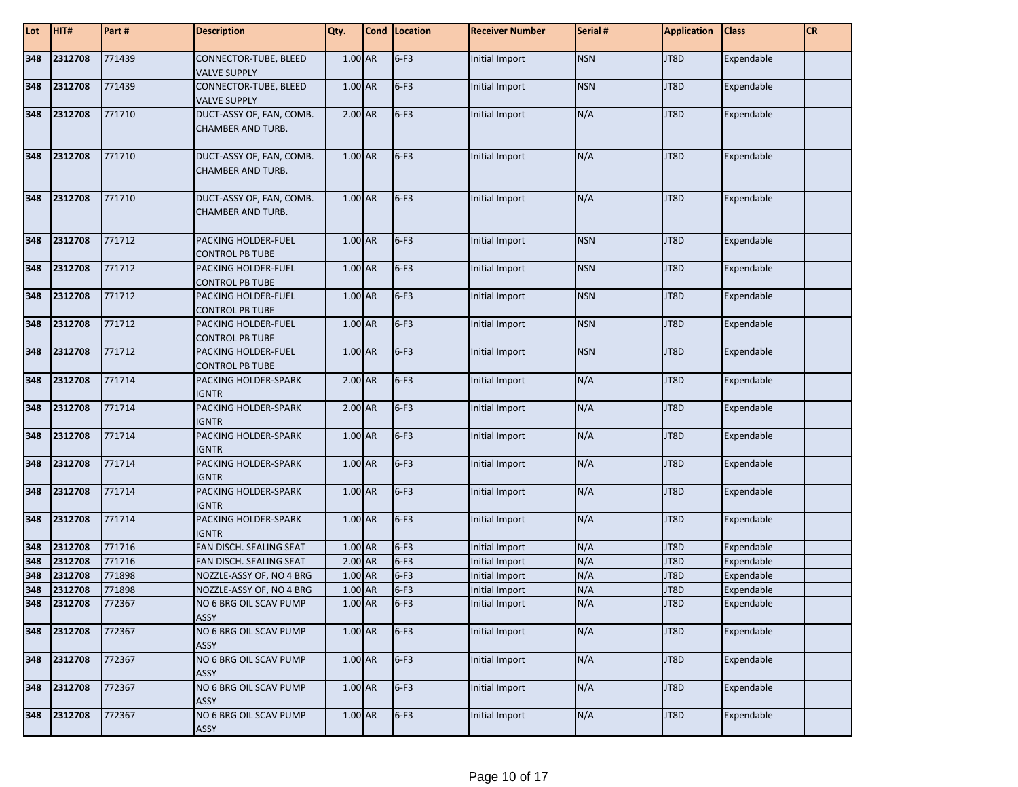| Lot | HIT#        | Part#  | <b>Description</b>                            | Qty.      | Cond   Location | <b>Receiver Number</b> | Serial #   | <b>Application</b> | <b>Class</b>      | <b>CR</b> |
|-----|-------------|--------|-----------------------------------------------|-----------|-----------------|------------------------|------------|--------------------|-------------------|-----------|
| 348 | 2312708     | 771439 | CONNECTOR-TUBE, BLEED<br><b>VALVE SUPPLY</b>  | 1.00 AR   | $6-F3$          | Initial Import         | <b>NSN</b> | JT8D               | Expendable        |           |
| 348 | 2312708     | 771439 | CONNECTOR-TUBE, BLEED<br><b>VALVE SUPPLY</b>  | 1.00 AR   | $6-F3$          | Initial Import         | <b>NSN</b> | JT8D               | Expendable        |           |
| 348 | 2312708     | 771710 | DUCT-ASSY OF, FAN, COMB.<br>CHAMBER AND TURB. | 2.00 AR   | $6-F3$          | Initial Import         | N/A        | JT8D               | Expendable        |           |
| 348 | 2312708     | 771710 | DUCT-ASSY OF, FAN, COMB.<br>CHAMBER AND TURB. | 1.00 AR   | $6-F3$          | Initial Import         | N/A        | JT8D               | Expendable        |           |
| 348 | 2312708     | 771710 | DUCT-ASSY OF, FAN, COMB.<br>CHAMBER AND TURB. | 1.00 AR   | $6-F3$          | Initial Import         | N/A        | JT8D               | Expendable        |           |
| 348 | 2312708     | 771712 | PACKING HOLDER-FUEL<br><b>CONTROL PB TUBE</b> | 1.00 AR   | $6-F3$          | Initial Import         | <b>NSN</b> | JT8D               | Expendable        |           |
| 348 | 2312708     | 771712 | PACKING HOLDER-FUEL<br><b>CONTROL PB TUBE</b> | 1.00 AR   | $6-F3$          | Initial Import         | <b>NSN</b> | JT8D               | Expendable        |           |
| 348 | 2312708     | 771712 | PACKING HOLDER-FUEL<br><b>CONTROL PB TUBE</b> | 1.00 AR   | $6-F3$          | Initial Import         | <b>NSN</b> | JT8D               | Expendable        |           |
| 348 | 2312708     | 771712 | PACKING HOLDER-FUEL<br><b>CONTROL PB TUBE</b> | 1.00 AR   | $6-F3$          | Initial Import         | <b>NSN</b> | JT8D               | Expendable        |           |
| 348 | 2312708     | 771712 | PACKING HOLDER-FUEL<br><b>CONTROL PB TUBE</b> | 1.00 AR   | $6-F3$          | Initial Import         | <b>NSN</b> | JT8D               | Expendable        |           |
| 348 | 2312708     | 771714 | PACKING HOLDER-SPARK<br><b>IGNTR</b>          | 2.00 AR   | $6-F3$          | Initial Import         | N/A        | JT8D               | Expendable        |           |
| 348 | 2312708     | 771714 | PACKING HOLDER-SPARK<br>IGNTR                 | 2.00 AR   | $6-F3$          | Initial Import         | N/A        | JT8D               | Expendable        |           |
| 348 | 2312708     | 771714 | PACKING HOLDER-SPARK<br><b>IGNTR</b>          | 1.00 AR   | $6-F3$          | Initial Import         | N/A        | JT8D               | Expendable        |           |
| 348 | 2312708     | 771714 | PACKING HOLDER-SPARK<br><b>IGNTR</b>          | 1.00 AR   | $6-F3$          | Initial Import         | N/A        | JT8D               | Expendable        |           |
| 348 | 2312708     | 771714 | PACKING HOLDER-SPARK<br><b>IGNTR</b>          | 1.00 AR   | $6-F3$          | Initial Import         | N/A        | JT8D               | Expendable        |           |
| 348 | 2312708     | 771714 | PACKING HOLDER-SPARK<br><b>IGNTR</b>          | 1.00 AR   | $6-F3$          | Initial Import         | N/A        | JT8D               | Expendable        |           |
| 348 | 2312708     | 771716 | FAN DISCH. SEALING SEAT                       | 1.00 AR   | $6-F3$          | <b>Initial Import</b>  | N/A        | JT8D               | Expendable        |           |
| 348 | 2312708     | 771716 | FAN DISCH. SEALING SEAT                       | 2.00 AR   | $6-F3$          | <b>Initial Import</b>  | N/A        | JT8D               | Expendable        |           |
| 348 | 2312708     | 771898 | NOZZLE-ASSY OF, NO 4 BRG                      | 1.00 AR   | $6-F3$          | Initial Import         | N/A        | JT8D               | Expendable        |           |
| 348 | 2312708     | 771898 | NOZZLE-ASSY OF, NO 4 BRG                      | 1.00 AR   | $6-F3$          | Initial Import         | N/A        | JT8D               | Expendable        |           |
|     | 348 2312708 | 772367 | NO 6 BRG OIL SCAV PUMP<br>ASSY                | $1.00$ AR | $6-F3$          | Initial Import         | N/A        | <b>UT8D</b>        | <b>Expendable</b> |           |
| 348 | 2312708     | 772367 | NO 6 BRG OIL SCAV PUMP<br>ASSY                | 1.00 AR   | $6-F3$          | Initial Import         | N/A        | JT8D               | Expendable        |           |
| 348 | 2312708     | 772367 | NO 6 BRG OIL SCAV PUMP<br>ASSY                | 1.00 AR   | $6-F3$          | Initial Import         | N/A        | JT8D               | Expendable        |           |
| 348 | 2312708     | 772367 | NO 6 BRG OIL SCAV PUMP<br>ASSY                | 1.00 AR   | $6-F3$          | Initial Import         | N/A        | JT8D               | Expendable        |           |
| 348 | 2312708     | 772367 | NO 6 BRG OIL SCAV PUMP<br>ASSY                | 1.00 AR   | $6-F3$          | Initial Import         | N/A        | JT8D               | Expendable        |           |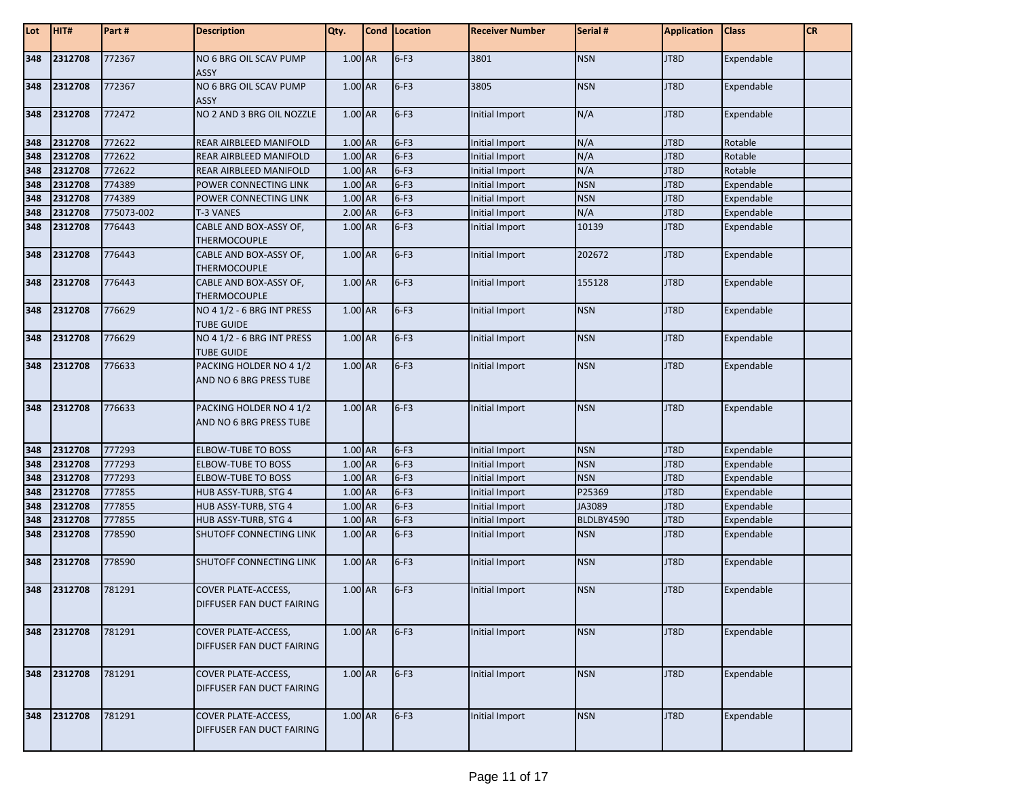| Lot | HIT#    | Part#      | <b>Description</b>                                      | Qty.      | Cond   Location | <b>Receiver Number</b> | Serial #   | <b>Application</b> | <b>Class</b> | CR |
|-----|---------|------------|---------------------------------------------------------|-----------|-----------------|------------------------|------------|--------------------|--------------|----|
| 348 | 2312708 | 772367     | NO 6 BRG OIL SCAV PUMP<br><b>ASSY</b>                   | 1.00 AR   | $6-F3$          | 3801                   | <b>NSN</b> | JT8D               | Expendable   |    |
| 348 | 2312708 | 772367     | NO 6 BRG OIL SCAV PUMP<br><b>ASSY</b>                   | 1.00 AR   | $6-F3$          | 3805                   | <b>NSN</b> | JT8D               | Expendable   |    |
| 348 | 2312708 | 772472     | NO 2 AND 3 BRG OIL NOZZLE                               | 1.00 AR   | $6-F3$          | Initial Import         | N/A        | JT8D               | Expendable   |    |
| 348 | 2312708 | 772622     | REAR AIRBLEED MANIFOLD                                  | 1.00 AR   | $6-F3$          | Initial Import         | N/A        | JT8D               | Rotable      |    |
| 348 | 2312708 | 772622     | REAR AIRBLEED MANIFOLD                                  | 1.00 AR   | $6-F3$          | Initial Import         | N/A        | JT8D               | Rotable      |    |
| 348 | 2312708 | 772622     | REAR AIRBLEED MANIFOLD                                  | 1.00 AR   | $6-F3$          | Initial Import         | N/A        | JT8D               | Rotable      |    |
| 348 | 2312708 | 774389     | POWER CONNECTING LINK                                   | 1.00 AR   | $6-F3$          | Initial Import         | <b>NSN</b> | JT8D               | Expendable   |    |
| 348 | 2312708 | 774389     | POWER CONNECTING LINK                                   | 1.00 AR   | $6-F3$          | Initial Import         | <b>NSN</b> | JT8D               | Expendable   |    |
| 348 | 2312708 | 775073-002 | <b>T-3 VANES</b>                                        | $2.00$ AR | $6-F3$          | Initial Import         | N/A        | JT8D               | Expendable   |    |
| 348 | 2312708 | 776443     | CABLE AND BOX-ASSY OF,<br>THERMOCOUPLE                  | 1.00 AR   | $6-F3$          | Initial Import         | 10139      | JT8D               | Expendable   |    |
| 348 | 2312708 | 776443     | CABLE AND BOX-ASSY OF,<br><b>THERMOCOUPLE</b>           | 1.00 AR   | $6-F3$          | Initial Import         | 202672     | JT8D               | Expendable   |    |
| 348 | 2312708 | 776443     | CABLE AND BOX-ASSY OF,<br><b>THERMOCOUPLE</b>           | 1.00 AR   | $6-F3$          | Initial Import         | 155128     | JT8D               | Expendable   |    |
| 348 | 2312708 | 776629     | NO 4 1/2 - 6 BRG INT PRESS<br><b>TUBE GUIDE</b>         | 1.00 AR   | $6-F3$          | Initial Import         | <b>NSN</b> | JT8D               | Expendable   |    |
| 348 | 2312708 | 776629     | NO 4 1/2 - 6 BRG INT PRESS<br><b>TUBE GUIDE</b>         | 1.00 AR   | $6-F3$          | Initial Import         | <b>NSN</b> | JT8D               | Expendable   |    |
| 348 | 2312708 | 776633     | PACKING HOLDER NO 4 1/2<br>AND NO 6 BRG PRESS TUBE      | 1.00 AR   | $6-F3$          | Initial Import         | <b>NSN</b> | JT8D               | Expendable   |    |
| 348 | 2312708 | 776633     | PACKING HOLDER NO 4 1/2<br>AND NO 6 BRG PRESS TUBE      | 1.00 AR   | $6-F3$          | Initial Import         | <b>NSN</b> | JT8D               | Expendable   |    |
| 348 | 2312708 | 777293     | <b>ELBOW-TUBE TO BOSS</b>                               | 1.00 AR   | $6-F3$          | Initial Import         | <b>NSN</b> | JT8D               | Expendable   |    |
| 348 | 2312708 | 777293     | <b>ELBOW-TUBE TO BOSS</b>                               | 1.00 AR   | $6-F3$          | Initial Import         | <b>NSN</b> | JT8D               | Expendable   |    |
| 348 | 2312708 | 777293     | ELBOW-TUBE TO BOSS                                      | 1.00 AR   | $6-F3$          | Initial Import         | <b>NSN</b> | JT8D               | Expendable   |    |
| 348 | 2312708 | 777855     | HUB ASSY-TURB, STG 4                                    | $1.00$ AR | $6-F3$          | Initial Import         | P25369     | JT8D               | Expendable   |    |
| 348 | 2312708 | 777855     | HUB ASSY-TURB, STG 4                                    | 1.00 AR   | $6-F3$          | Initial Import         | JA3089     | JT8D               | Expendable   |    |
| 348 | 2312708 | 777855     | HUB ASSY-TURB, STG 4                                    | 1.00 AR   | $6-F3$          | Initial Import         | BLDLBY4590 | JT8D               | Expendable   |    |
| 348 | 2312708 | 778590     | SHUTOFF CONNECTING LINK                                 | 1.00 AR   | $6-F3$          | Initial Import         | <b>NSN</b> | JT8D               | Expendable   |    |
| 348 | 2312708 | 778590     | SHUTOFF CONNECTING LINK                                 | 1.00 AR   | $6-F3$          | Initial Import         | <b>NSN</b> | JT8D               | Expendable   |    |
| 348 | 2312708 | 781291     | <b>COVER PLATE-ACCESS,</b><br>DIFFUSER FAN DUCT FAIRING | $1.00$ AR | $6-F3$          | Initial Import         | <b>NSN</b> | JT8D               | Expendable   |    |
| 348 | 2312708 | 781291     | COVER PLATE-ACCESS,<br>DIFFUSER FAN DUCT FAIRING        | 1.00 AR   | $6-F3$          | Initial Import         | <b>NSN</b> | JT8D               | Expendable   |    |
| 348 | 2312708 | 781291     | COVER PLATE-ACCESS,<br>DIFFUSER FAN DUCT FAIRING        | 1.00 AR   | $6-F3$          | Initial Import         | <b>NSN</b> | JT8D               | Expendable   |    |
| 348 | 2312708 | 781291     | COVER PLATE-ACCESS,<br>DIFFUSER FAN DUCT FAIRING        | 1.00 AR   | $6-F3$          | Initial Import         | <b>NSN</b> | JT8D               | Expendable   |    |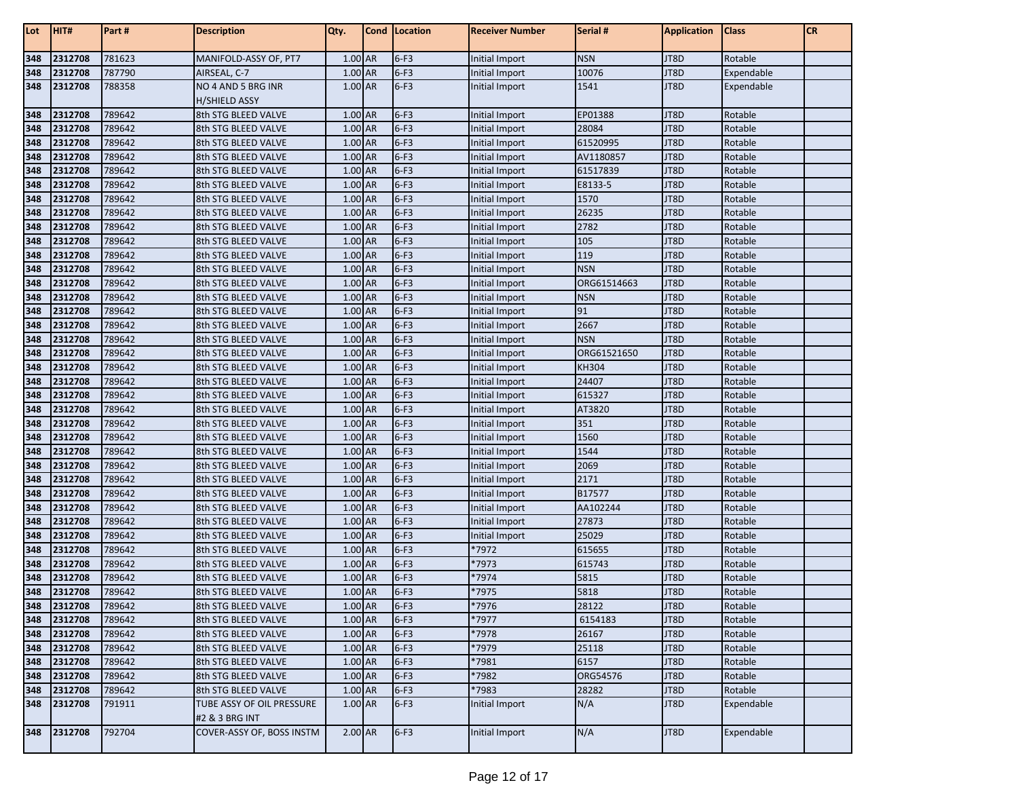| Lot        | HIT#               | Part#            | <b>Description</b>                         | Qty.               | Cond   Location  | <b>Receiver Number</b>           | Serial #     | <b>Application</b> | <b>Class</b>       | CR |
|------------|--------------------|------------------|--------------------------------------------|--------------------|------------------|----------------------------------|--------------|--------------------|--------------------|----|
| 348        | 2312708            | 781623           | MANIFOLD-ASSY OF, PT7                      | 1.00 AR            | $6-F3$           | Initial Import                   | <b>NSN</b>   | JT8D               | Rotable            |    |
| 348        | 2312708            | 787790           | AIRSEAL, C-7                               | 1.00 AR            | $6-F3$           | Initial Import                   | 10076        | JT8D               | Expendable         |    |
| 348        | 2312708            | 788358           | NO 4 AND 5 BRG INR                         | 1.00 AR            | $6-F3$           | Initial Import                   | 1541         | JT8D               | Expendable         |    |
|            |                    |                  | <b>H/SHIELD ASSY</b>                       |                    |                  |                                  |              |                    |                    |    |
| 348        | 2312708            | 789642           | 8th STG BLEED VALVE                        | $1.00$ AR          | $6-F3$           | Initial Import                   | EP01388      | JT8D               | Rotable            |    |
| 348        | 2312708            | 789642           | 8th STG BLEED VALVE                        | 1.00 AR            | $6-F3$           | Initial Import                   | 28084        | JT8D               | Rotable            |    |
| 348        | 2312708            | 789642           | 8th STG BLEED VALVE                        | 1.00 AR            | $6-F3$           | Initial Import                   | 61520995     | JT8D               | Rotable            |    |
| 348        | 2312708            | 789642           | 8th STG BLEED VALVE                        | 1.00 AR            | $6-F3$           | Initial Import                   | AV1180857    | JT8D               | Rotable            |    |
| 348        | 2312708            | 789642           | 8th STG BLEED VALVE                        | 1.00 AR            | $6-F3$           | Initial Import                   | 61517839     | JT8D               | Rotable            |    |
| 348        | 2312708            | 789642           | 8th STG BLEED VALVE                        | 1.00 AR            | $6-F3$           | Initial Import                   | E8133-5      | JT8D               | Rotable            |    |
| 348        | 2312708            | 789642           | 8th STG BLEED VALVE                        | 1.00 AR            | $6-F3$           | Initial Import                   | 1570         | JT8D               | Rotable            |    |
| 348        | 2312708            | 789642           | 8th STG BLEED VALVE                        | 1.00 AR            | $6-F3$           | Initial Import                   | 26235        | JT8D               | Rotable            |    |
| 348        | 2312708            | 789642           | 8th STG BLEED VALVE                        | 1.00 AR            | $6-F3$           | Initial Import                   | 2782         | JT8D               | Rotable            |    |
| 348        | 2312708            | 789642           | 8th STG BLEED VALVE                        | 1.00 AR            | $6-F3$           | Initial Import                   | 105          | JT8D               | Rotable            |    |
| 348        | 2312708            | 789642           | 8th STG BLEED VALVE                        | 1.00 AR            | $6-F3$           | Initial Import                   | 119          | JT8D               | Rotable            |    |
| 348        | 2312708            | 789642           | 8th STG BLEED VALVE                        | 1.00 AR            | $6-F3$           | Initial Import                   | <b>NSN</b>   | JT8D               | Rotable            |    |
| 348        | 2312708            | 789642           | 8th STG BLEED VALVE                        | 1.00 AR            | $6-F3$           | Initial Import                   | ORG61514663  | JT8D               | Rotable            |    |
| 348        | 2312708            | 789642           | 8th STG BLEED VALVE                        | 1.00 AR            | $6-F3$           | Initial Import                   | <b>NSN</b>   | JT8D               | Rotable            |    |
| 348        | 2312708            | 789642           | 8th STG BLEED VALVE                        | 1.00 AR            | $6-F3$           | Initial Import                   | 91           | JT8D               | Rotable            |    |
| 348        | 2312708            | 789642           | 8th STG BLEED VALVE                        | 1.00 AR            | $6-F3$           | Initial Import                   | 2667         | JT8D               | Rotable            |    |
| 348        | 2312708            | 789642           | 8th STG BLEED VALVE                        | 1.00 AR            | $6-F3$           | Initial Import                   | <b>NSN</b>   | JT8D               | Rotable            |    |
| 348        | 2312708            | 789642           | 8th STG BLEED VALVE                        | 1.00 AR            | $6-F3$           | Initial Import                   | ORG61521650  | JT8D               | Rotable            |    |
| 348        | 2312708            | 789642           | 8th STG BLEED VALVE                        | 1.00 AR            | $6-F3$           | Initial Import                   | <b>KH304</b> | JT8D               | Rotable            |    |
| 348        | 2312708            | 789642           | 8th STG BLEED VALVE                        | 1.00 AR            | $6-F3$           | Initial Import                   | 24407        | JT8D               | Rotable            |    |
| 348        | 2312708            | 789642           | 8th STG BLEED VALVE                        | 1.00 AR            | $6-F3$           | Initial Import                   | 615327       | JT8D               | Rotable            |    |
| 348        | 2312708            | 789642           | 8th STG BLEED VALVE                        | 1.00 AR            | $6-F3$           | Initial Import                   | AT3820       | JT8D               | Rotable            |    |
| 348        | 2312708            | 789642           | 8th STG BLEED VALVE                        | 1.00 AR            | $6-F3$           | Initial Import                   | 351          | JT8D               | Rotable            |    |
| 348        | 2312708            | 789642           | 8th STG BLEED VALVE                        | 1.00 AR            | $6-F3$<br>$6-F3$ | Initial Import                   | 1560         | JT8D               | Rotable            |    |
| 348<br>348 | 2312708<br>2312708 | 789642<br>789642 | 8th STG BLEED VALVE<br>8th STG BLEED VALVE | 1.00 AR<br>1.00 AR | $6-F3$           | Initial Import                   | 1544<br>2069 | JT8D<br>JT8D       | Rotable<br>Rotable |    |
| 348        | 2312708            | 789642           | 8th STG BLEED VALVE                        | 1.00 AR            | $6-F3$           | Initial Import<br>Initial Import | 2171         | JT8D               | Rotable            |    |
| 348        | 2312708            | 789642           | 8th STG BLEED VALVE                        | 1.00 AR            | $6-F3$           | Initial Import                   | B17577       | JT8D               | Rotable            |    |
| 348        | 2312708            | 789642           | 8th STG BLEED VALVE                        | 1.00 AR            | $6-F3$           | Initial Import                   | AA102244     | JT8D               | Rotable            |    |
| 348        | 2312708            | 789642           | 8th STG BLEED VALVE                        | 1.00 AR            | $6-F3$           | Initial Import                   | 27873        | JT8D               | Rotable            |    |
| 348        | 2312708            | 789642           | 8th STG BLEED VALVE                        | 1.00 AR            | $6-F3$           | Initial Import                   | 25029        | JT8D               | Rotable            |    |
| 348        | 2312708            | 789642           | 8th STG BLEED VALVE                        | $1.00$ AR          | $6-F3$           | *7972                            | 615655       | JT8D               | Rotable            |    |
| 348        | 2312708            | 789642           | 8th STG BLEED VALVE                        | 1.00 AR            | $6-F3$           | *7973                            | 615743       | JT8D               | Rotable            |    |
| 348        | 2312708            | 789642           | 8th STG BLEED VALVE                        | 1.00 AR            | $6-F3$           | *7974                            | 5815         | JT8D               | Rotable            |    |
| 348        | 2312708            | 789642           | 8th STG BLEED VALVE                        | 1.00 AR            | $6-F3$           | *7975                            | 5818         | JT8D               | Rotable            |    |
| 348        | 2312708            | 789642           | 8th STG BLEED VALVE                        | 1.00 AR            | $6-F3$           | *7976                            | 28122        | JT8D               | Rotable            |    |
| 348        | 2312708            | 789642           | 8th STG BLEED VALVE                        | 1.00 AR            | $6-F3$           | *7977                            | 6154183      | JT8D               | Rotable            |    |
| 348        | 2312708            | 789642           | 8th STG BLEED VALVE                        | 1.00 AR            | $6-F3$           | *7978                            | 26167        | JT8D               | Rotable            |    |
| 348        | 2312708            | 789642           | 8th STG BLEED VALVE                        | 1.00 AR            | $6-F3$           | *7979                            | 25118        | JT8D               | Rotable            |    |
| 348        | 2312708            | 789642           | 8th STG BLEED VALVE                        | $1.00$ AR          | $6-F3$           | *7981                            | 6157         | JT8D               | Rotable            |    |
| 348        | 2312708            | 789642           | 8th STG BLEED VALVE                        | 1.00 AR            | $6-F3$           | *7982                            | ORG54576     | JT8D               | Rotable            |    |
| 348        | 2312708            | 789642           | 8th STG BLEED VALVE                        | $1.00$ AR          | $6-F3$           | *7983                            | 28282        | JT8D               | Rotable            |    |
| 348        | 2312708            | 791911           | TUBE ASSY OF OIL PRESSURE                  | 1.00 AR            | $6-F3$           | Initial Import                   | N/A          | JT8D               | Expendable         |    |
|            |                    |                  | #2 & 3 BRG INT                             |                    |                  |                                  |              |                    |                    |    |
| 348        | 2312708            | 792704           | COVER-ASSY OF, BOSS INSTM                  | 2.00 AR            | $6-F3$           | Initial Import                   | N/A          | JT8D               | Expendable         |    |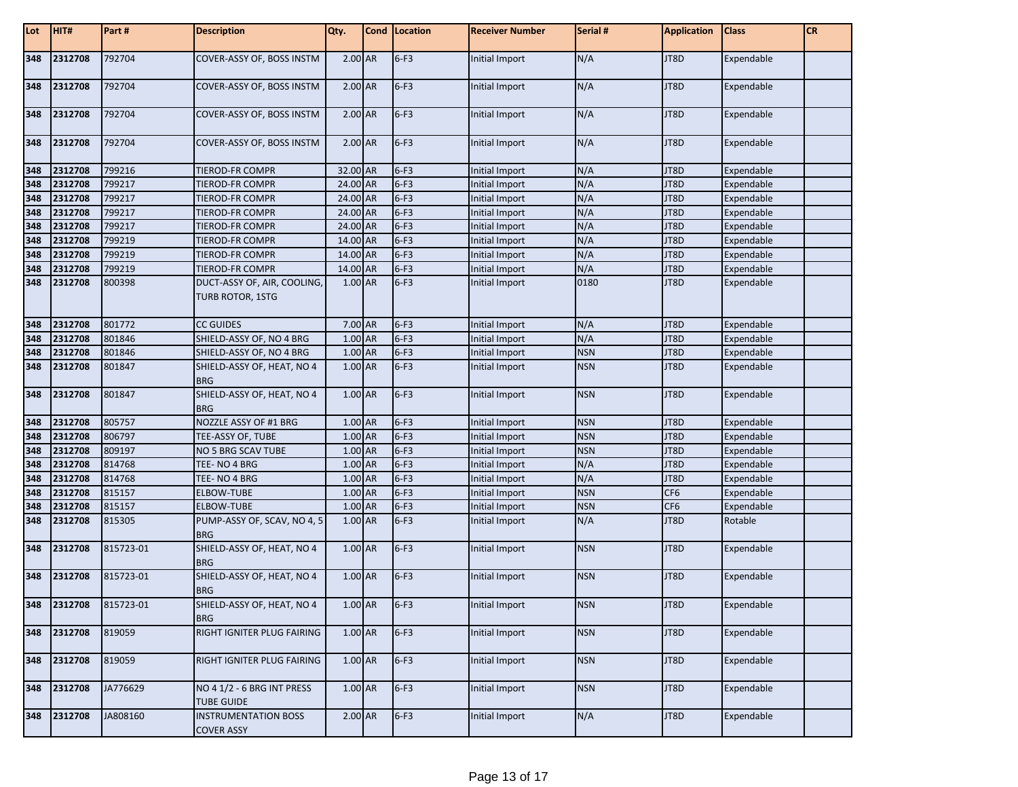| Lot | HIT#        | Part #    | <b>Description</b>                                     | Qty.      | Cond Location | <b>Receiver Number</b> | Serial #   | <b>Application</b> | <b>Class</b> | <b>CR</b> |
|-----|-------------|-----------|--------------------------------------------------------|-----------|---------------|------------------------|------------|--------------------|--------------|-----------|
| 348 | 2312708     | 792704    | COVER-ASSY OF, BOSS INSTM                              | 2.00 AR   | $6-F3$        | Initial Import         | N/A        | JT8D               | Expendable   |           |
| 348 | 2312708     | 792704    | COVER-ASSY OF, BOSS INSTM                              | 2.00 AR   | $6-F3$        | Initial Import         | N/A        | JT8D               | Expendable   |           |
| 348 | 2312708     | 792704    | COVER-ASSY OF, BOSS INSTM                              | 2.00 AR   | $6-F3$        | Initial Import         | N/A        | JT8D               | Expendable   |           |
| 348 | 2312708     | 792704    | COVER-ASSY OF, BOSS INSTM                              | 2.00 AR   | $6-F3$        | Initial Import         | N/A        | JT8D               | Expendable   |           |
| 348 | 2312708     | 799216    | <b>TIEROD-FR COMPR</b>                                 | 32.00 AR  | $6-F3$        | Initial Import         | N/A        | JT8D               | Expendable   |           |
| 348 | 2312708     | 799217    | <b>TIEROD-FR COMPR</b>                                 | 24.00 AR  | $6-F3$        | Initial Import         | N/A        | JT8D               | Expendable   |           |
| 348 | 2312708     | 799217    | TIEROD-FR COMPR                                        | 24.00 AR  | $6-F3$        | Initial Import         | N/A        | JT8D               | Expendable   |           |
| 348 | 2312708     | 799217    | <b>TIEROD-FR COMPR</b>                                 | 24.00 AR  | $6-F3$        | Initial Import         | N/A        | JT8D               | Expendable   |           |
| 348 | 2312708     | 799217    | TIEROD-FR COMPR                                        | 24.00 AR  | $6-F3$        | Initial Import         | N/A        | JT8D               | Expendable   |           |
| 348 | 2312708     | 799219    | <b>TIEROD-FR COMPR</b>                                 | 14.00 AR  | $6-F3$        | Initial Import         | N/A        | JT8D               | Expendable   |           |
| 348 | 2312708     | 799219    | <b>TIEROD-FR COMPR</b>                                 | 14.00 AR  | $6-F3$        | Initial Import         | N/A        | JT8D               | Expendable   |           |
| 348 | 2312708     | 799219    | <b>TIEROD-FR COMPR</b>                                 | 14.00 AR  | $6-F3$        | Initial Import         | N/A        | JT8D               | Expendable   |           |
| 348 | 2312708     | 800398    | DUCT-ASSY OF, AIR, COOLING,<br><b>TURB ROTOR, 1STG</b> | 1.00 AR   | $6-F3$        | Initial Import         | 0180       | JT8D               | Expendable   |           |
| 348 | 2312708     | 801772    | <b>CC GUIDES</b>                                       | 7.00 AR   | $6-F3$        | Initial Import         | N/A        | JT8D               | Expendable   |           |
| 348 | 2312708     | 801846    | SHIELD-ASSY OF, NO 4 BRG                               | 1.00 AR   | $6-F3$        | Initial Import         | N/A        | JT8D               | Expendable   |           |
| 348 | 2312708     | 801846    | SHIELD-ASSY OF, NO 4 BRG                               | 1.00 AR   | $6-F3$        | Initial Import         | <b>NSN</b> | JT8D               | Expendable   |           |
| 348 | 2312708     | 801847    | SHIELD-ASSY OF, HEAT, NO 4<br><b>BRG</b>               | 1.00 AR   | $6-F3$        | <b>Initial Import</b>  | <b>NSN</b> | JT8D               | Expendable   |           |
| 348 | 2312708     | 801847    | SHIELD-ASSY OF, HEAT, NO 4<br><b>BRG</b>               | 1.00 AR   | $6-F3$        | Initial Import         | <b>NSN</b> | JT8D               | Expendable   |           |
| 348 | 2312708     | 805757    | NOZZLE ASSY OF #1 BRG                                  | 1.00 AR   | $6-F3$        | Initial Import         | <b>NSN</b> | JT8D               | Expendable   |           |
| 348 | 2312708     | 806797    | TEE-ASSY OF, TUBE                                      | 1.00 AR   | $6-F3$        | Initial Import         | <b>NSN</b> | JT8D               | Expendable   |           |
| 348 | 2312708     | 809197    | NO 5 BRG SCAV TUBE                                     | 1.00 AR   | $6-F3$        | Initial Import         | <b>NSN</b> | JT8D               | Expendable   |           |
| 348 | 2312708     | 814768    | TEE-NO 4 BRG                                           | 1.00 AR   | $6-F3$        | Initial Import         | N/A        | JT8D               | Expendable   |           |
| 348 | 2312708     | 814768    | TEE-NO 4 BRG                                           | 1.00 AR   | $6-F3$        | <b>Initial Import</b>  | N/A        | JT8D               | Expendable   |           |
| 348 | 2312708     | 815157    | <b>ELBOW-TUBE</b>                                      | 1.00 AR   | $6-F3$        | Initial Import         | <b>NSN</b> | CF <sub>6</sub>    | Expendable   |           |
| 348 | 2312708     | 815157    | ELBOW-TUBE                                             | 1.00 AR   | $6-F3$        | <b>Initial Import</b>  | <b>NSN</b> | CF <sub>6</sub>    | Expendable   |           |
| 348 | 2312708     | 815305    | PUMP-ASSY OF, SCAV, NO 4, 5<br><b>BRG</b>              | 1.00 AR   | $6-F3$        | Initial Import         | N/A        | JT8D               | Rotable      |           |
| 348 | 2312708     | 815723-01 | SHIELD-ASSY OF, HEAT, NO 4<br><b>BRG</b>               | 1.00 AR   | $6-F3$        | Initial Import         | <b>NSN</b> | JT8D               | Expendable   |           |
| 348 | 2312708     | 815723-01 | SHIELD-ASSY OF, HEAT, NO 4<br><b>BRG</b>               | 1.00 AR   | $6-F3$        | Initial Import         | <b>NSN</b> | JT8D               | Expendable   |           |
|     | 348 2312708 | 815723-01 | SHIELD-ASSY OF, HEAT, NO 4<br><b>BRG</b>               | 1.00 AR   | $6-F3$        | Initial Import         | <b>NSN</b> | JT8D               | Expendable   |           |
| 348 | 2312708     | 819059    | RIGHT IGNITER PLUG FAIRING                             | 1.00 AR   | $6-F3$        | Initial Import         | <b>NSN</b> | JT8D               | Expendable   |           |
| 348 | 2312708     | 819059    | RIGHT IGNITER PLUG FAIRING                             | 1.00 AR   | $6-F3$        | Initial Import         | <b>NSN</b> | JT8D               | Expendable   |           |
| 348 | 2312708     | JA776629  | NO 4 1/2 - 6 BRG INT PRESS<br><b>TUBE GUIDE</b>        | $1.00$ AR | $6-F3$        | Initial Import         | <b>NSN</b> | JT8D               | Expendable   |           |
| 348 | 2312708     | JA808160  | <b>INSTRUMENTATION BOSS</b><br><b>COVER ASSY</b>       | $2.00$ AR | $6-F3$        | Initial Import         | N/A        | JT8D               | Expendable   |           |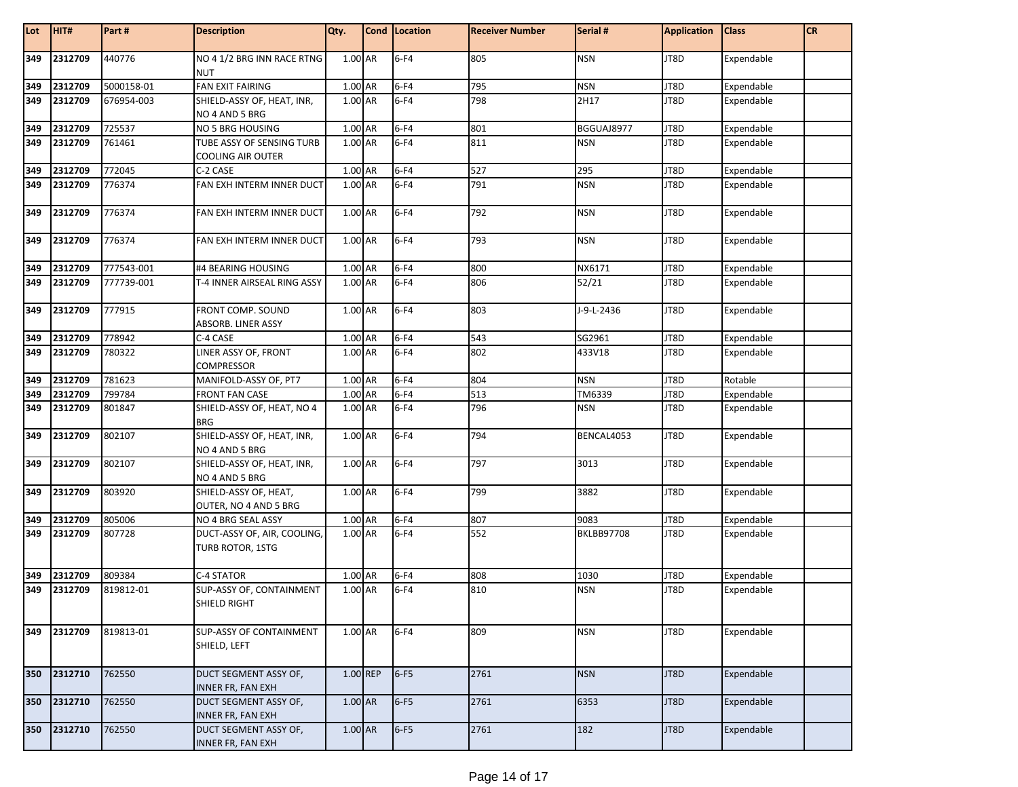| Lot        | HIT#    | Part#      | <b>Description</b>                                    | Qty.     | Cond Location | <b>Receiver Number</b> | Serial #          | <b>Application</b> | <b>Class</b> | CR |
|------------|---------|------------|-------------------------------------------------------|----------|---------------|------------------------|-------------------|--------------------|--------------|----|
| 349        | 2312709 | 440776     | NO 4 1/2 BRG INN RACE RTNG<br><b>NUT</b>              | 1.00 AR  | $6-F4$        | 805                    | <b>NSN</b>        | JT8D               | Expendable   |    |
| 349        | 2312709 | 5000158-01 | <b>FAN EXIT FAIRING</b>                               | 1.00 AR  | $6-F4$        | 795                    | <b>NSN</b>        | JT8D               | Expendable   |    |
| 349        | 2312709 | 676954-003 | SHIELD-ASSY OF, HEAT, INR,<br>NO 4 AND 5 BRG          | 1.00 AR  | $6-F4$        | 798                    | 2H17              | JT8D               | Expendable   |    |
| 349        | 2312709 | 725537     | NO 5 BRG HOUSING                                      | 1.00 AR  | $6-F4$        | 801                    | BGGUAJ8977        | JT8D               | Expendable   |    |
| 349        | 2312709 | 761461     | TUBE ASSY OF SENSING TURB<br><b>COOLING AIR OUTER</b> | 1.00 AR  | $6-F4$        | 811                    | <b>NSN</b>        | JT8D               | Expendable   |    |
| 349        | 2312709 | 772045     | C-2 CASE                                              | 1.00 AR  | $6-F4$        | 527                    | 295               | JT8D               | Expendable   |    |
| 349        | 2312709 | 776374     | FAN EXH INTERM INNER DUCT                             | 1.00 AR  | $6-F4$        | 791                    | <b>NSN</b>        | JT8D               | Expendable   |    |
| 349        | 2312709 | 776374     | FAN EXH INTERM INNER DUCT                             | 1.00 AR  | $6-F4$        | 792                    | <b>NSN</b>        | JT8D               | Expendable   |    |
| 349        | 2312709 | 776374     | FAN EXH INTERM INNER DUCT                             | 1.00 AR  | $6-F4$        | 793                    | <b>NSN</b>        | JT8D               | Expendable   |    |
| 349        | 2312709 | 777543-001 | #4 BEARING HOUSING                                    | 1.00 AR  | $6-F4$        | 800                    | NX6171            | JT8D               | Expendable   |    |
| 349        | 2312709 | 777739-001 | T-4 INNER AIRSEAL RING ASSY                           | 1.00 AR  | $6-F4$        | 806                    | 52/21             | JT8D               | Expendable   |    |
| 349        | 2312709 | 777915     | FRONT COMP. SOUND<br>ABSORB. LINER ASSY               | 1.00 AR  | $6-F4$        | 803                    | J-9-L-2436        | JT8D               | Expendable   |    |
| 349        | 2312709 | 778942     | C-4 CASE                                              | 1.00 AR  | $6-F4$        | 543                    | SG2961            | JT8D               | Expendable   |    |
| 349        | 2312709 | 780322     | LINER ASSY OF, FRONT<br><b>COMPRESSOR</b>             | 1.00 AR  | $6-F4$        | 802                    | 433V18            | JT8D               | Expendable   |    |
| 349        | 2312709 | 781623     | MANIFOLD-ASSY OF, PT7                                 | 1.00 AR  | $6-F4$        | 804                    | <b>NSN</b>        | JT8D               | Rotable      |    |
| 349        | 2312709 | 799784     | <b>FRONT FAN CASE</b>                                 | 1.00 AR  | $6-F4$        | 513                    | TM6339            | JT8D               | Expendable   |    |
| 349        | 2312709 | 801847     | SHIELD-ASSY OF, HEAT, NO 4<br><b>BRG</b>              | 1.00 AR  | $6-F4$        | 796                    | <b>NSN</b>        | JT8D               | Expendable   |    |
| 349        | 2312709 | 802107     | SHIELD-ASSY OF, HEAT, INR,<br>NO 4 AND 5 BRG          | 1.00 AR  | $6-F4$        | 794                    | BENCAL4053        | JT8D               | Expendable   |    |
| 349        | 2312709 | 802107     | SHIELD-ASSY OF, HEAT, INR,<br>NO 4 AND 5 BRG          | 1.00 AR  | $6-F4$        | 797                    | 3013              | JT8D               | Expendable   |    |
| 349        | 2312709 | 803920     | SHIELD-ASSY OF, HEAT,<br>OUTER, NO 4 AND 5 BRG        | 1.00 AR  | $6-F4$        | 799                    | 3882              | JT8D               | Expendable   |    |
| 349        | 2312709 | 805006     | NO 4 BRG SEAL ASSY                                    | 1.00 AR  | $6-F4$        | 807                    | 9083              | JT8D               | Expendable   |    |
| 349        | 2312709 | 807728     | DUCT-ASSY OF, AIR, COOLING,<br>TURB ROTOR, 1STG       | 1.00 AR  | $6-F4$        | 552                    | <b>BKLBB97708</b> | JT8D               | Expendable   |    |
| 349<br>349 | 2312709 | 809384     | C-4 STATOR                                            | 1.00 AR  | $6-F4$        | 808                    | 1030              | JT8D               | Expendable   |    |
|            | 2312709 | 819812-01  | SUP-ASSY OF, CONTAINMENT<br>SHIELD RIGHT              | 1.00 AR  | $6-F4$        | 810                    | <b>NSN</b>        | JT8D               | Expendable   |    |
| 349        | 2312709 | 819813-01  | <b>SUP-ASSY OF CONTAINMENT</b><br>SHIELD, LEFT        | 1.00 AR  | $6-F4$        | 809                    | <b>NSN</b>        | JT8D               | Expendable   |    |
| 350        | 2312710 | 762550     | DUCT SEGMENT ASSY OF,<br><b>INNER FR, FAN EXH</b>     | 1.00 REP | $6-F5$        | 2761                   | <b>NSN</b>        | JT8D               | Expendable   |    |
| 350        | 2312710 | 762550     | DUCT SEGMENT ASSY OF,<br><b>INNER FR, FAN EXH</b>     | 1.00 AR  | $6-F5$        | 2761                   | 6353              | JT8D               | Expendable   |    |
| 350        | 2312710 | 762550     | DUCT SEGMENT ASSY OF,<br><b>INNER FR, FAN EXH</b>     | 1.00 AR  | $6-F5$        | 2761                   | 182               | JT8D               | Expendable   |    |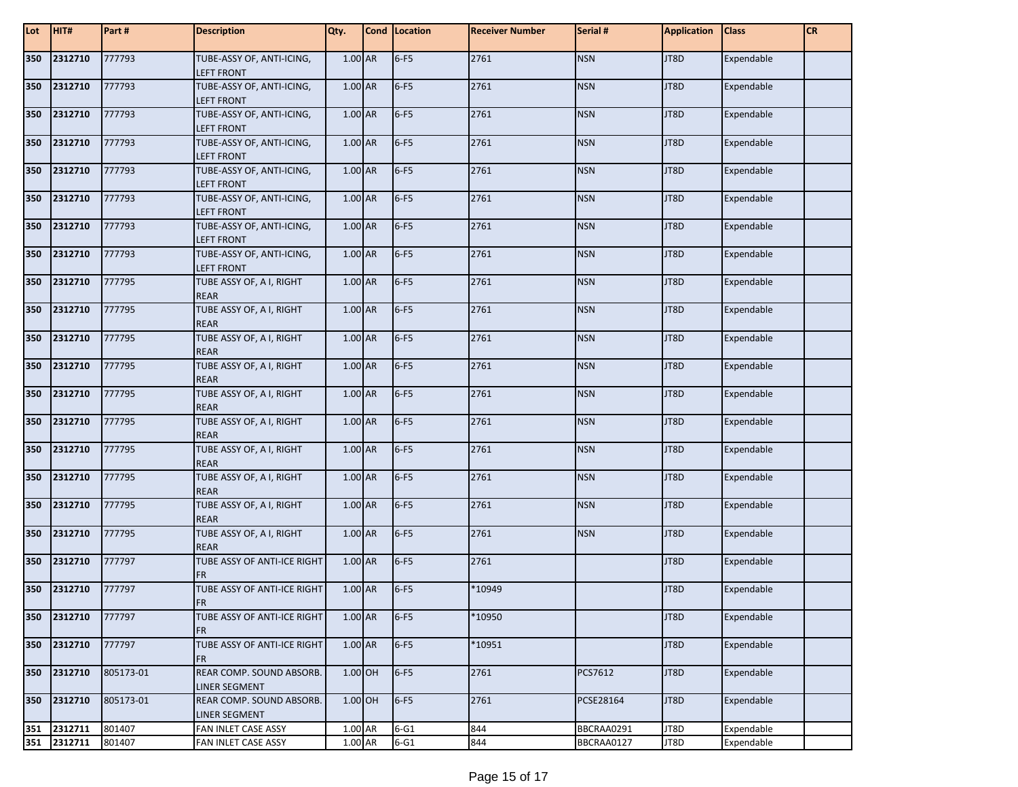| Lot | HIT#    | Part #    | <b>Description</b>                               | Qty.      | Cond Location | <b>Receiver Number</b> | Serial #   | <b>Application</b> | <b>Class</b> | <b>CR</b> |
|-----|---------|-----------|--------------------------------------------------|-----------|---------------|------------------------|------------|--------------------|--------------|-----------|
| 350 | 2312710 | 777793    | TUBE-ASSY OF, ANTI-ICING,<br><b>LEFT FRONT</b>   | 1.00 AR   | $6-F5$        | 2761                   | <b>NSN</b> | JT8D               | Expendable   |           |
| 350 | 2312710 | 777793    | TUBE-ASSY OF, ANTI-ICING,<br><b>LEFT FRONT</b>   | 1.00 AR   | $6-F5$        | 2761                   | <b>NSN</b> | JT8D               | Expendable   |           |
| 350 | 2312710 | 777793    | TUBE-ASSY OF, ANTI-ICING,<br><b>LEFT FRONT</b>   | 1.00 AR   | $6-F5$        | 2761                   | <b>NSN</b> | JT8D               | Expendable   |           |
| 350 | 2312710 | 777793    | TUBE-ASSY OF, ANTI-ICING,<br><b>LEFT FRONT</b>   | 1.00 AR   | $6-F5$        | 2761                   | <b>NSN</b> | JT8D               | Expendable   |           |
| 350 | 2312710 | 777793    | TUBE-ASSY OF, ANTI-ICING,<br><b>LEFT FRONT</b>   | 1.00 AR   | $6-F5$        | 2761                   | <b>NSN</b> | JT8D               | Expendable   |           |
| 350 | 2312710 | 777793    | TUBE-ASSY OF, ANTI-ICING,<br><b>LEFT FRONT</b>   | 1.00 AR   | $6-F5$        | 2761                   | <b>NSN</b> | JT8D               | Expendable   |           |
| 350 | 2312710 | 777793    | TUBE-ASSY OF, ANTI-ICING,<br><b>LEFT FRONT</b>   | 1.00 AR   | $6-F5$        | 2761                   | <b>NSN</b> | JT8D               | Expendable   |           |
| 350 | 2312710 | 777793    | TUBE-ASSY OF, ANTI-ICING,<br><b>LEFT FRONT</b>   | 1.00 AR   | $6-F5$        | 2761                   | <b>NSN</b> | JT8D               | Expendable   |           |
| 350 | 2312710 | 777795    | TUBE ASSY OF, A I, RIGHT<br><b>REAR</b>          | 1.00 AR   | $6-F5$        | 2761                   | <b>NSN</b> | JT8D               | Expendable   |           |
| 350 | 2312710 | 777795    | TUBE ASSY OF, A I, RIGHT<br><b>REAR</b>          | 1.00 AR   | $6-F5$        | 2761                   | <b>NSN</b> | JT8D               | Expendable   |           |
| 350 | 2312710 | 777795    | TUBE ASSY OF, A I, RIGHT<br><b>REAR</b>          | 1.00 AR   | $6-F5$        | 2761                   | <b>NSN</b> | JT8D               | Expendable   |           |
| 350 | 2312710 | 777795    | TUBE ASSY OF, A I, RIGHT<br><b>REAR</b>          | 1.00 AR   | $6-F5$        | 2761                   | <b>NSN</b> | JT8D               | Expendable   |           |
| 350 | 2312710 | 777795    | TUBE ASSY OF, A I, RIGHT<br><b>REAR</b>          | 1.00 AR   | $6-F5$        | 2761                   | <b>NSN</b> | JT8D               | Expendable   |           |
| 350 | 2312710 | 777795    | TUBE ASSY OF, A I, RIGHT<br><b>REAR</b>          | 1.00 AR   | $6-F5$        | 2761                   | <b>NSN</b> | JT8D               | Expendable   |           |
| 350 | 2312710 | 777795    | TUBE ASSY OF, A I, RIGHT<br><b>REAR</b>          | 1.00 AR   | $6-F5$        | 2761                   | <b>NSN</b> | JT8D               | Expendable   |           |
| 350 | 2312710 | 777795    | TUBE ASSY OF, A I, RIGHT<br><b>REAR</b>          | $1.00$ AR | $6-F5$        | 2761                   | <b>NSN</b> | JT8D               | Expendable   |           |
| 350 | 2312710 | 777795    | TUBE ASSY OF, A I, RIGHT<br><b>REAR</b>          | 1.00 AR   | $6-F5$        | 2761                   | <b>NSN</b> | JT8D               | Expendable   |           |
| 350 | 2312710 | 777795    | TUBE ASSY OF, A I, RIGHT<br><b>REAR</b>          | 1.00 AR   | $6-F5$        | 2761                   | <b>NSN</b> | JT8D               | Expendable   |           |
| 350 | 2312710 | 777797    | TUBE ASSY OF ANTI-ICE RIGHT<br><b>FR</b>         | 1.00 AR   | $6-F5$        | 2761                   |            | JT8D               | Expendable   |           |
| 350 | 2312710 | 777797    | TUBE ASSY OF ANTI-ICE RIGHT<br><b>IFR</b>        | 1.00 AR   | $6-F5$        | *10949                 |            | JT8D               | Expendable   |           |
| 350 | 2312710 | 777797    | TUBE ASSY OF ANTI-ICE RIGHT<br><b>FR</b>         | 1.00 AR   | $6-F5$        | *10950                 |            | JT8D               | Expendable   |           |
| 350 | 2312710 | 777797    | TUBE ASSY OF ANTI-ICE RIGHT<br><b>FR</b>         | 1.00 AR   | $6-F5$        | $*10951$               |            | JT8D               | Expendable   |           |
| 350 | 2312710 | 805173-01 | REAR COMP. SOUND ABSORB.<br><b>LINER SEGMENT</b> | $1.00$ OH | $6-F5$        | 2761                   | PCS7612    | JT8D               | Expendable   |           |
| 350 | 2312710 | 805173-01 | REAR COMP. SOUND ABSORB.<br><b>LINER SEGMENT</b> | 1.00 OH   | $6-F5$        | 2761                   | PCSE28164  | JT8D               | Expendable   |           |
| 351 | 2312711 | 801407    | FAN INLET CASE ASSY                              | 1.00 AR   | $6 - G1$      | 844                    | BBCRAA0291 | JT8D               | Expendable   |           |
| 351 | 2312711 | 801407    | FAN INLET CASE ASSY                              | $1.00$ AR | $6 - G1$      | 844                    | BBCRAA0127 | JT8D               | Expendable   |           |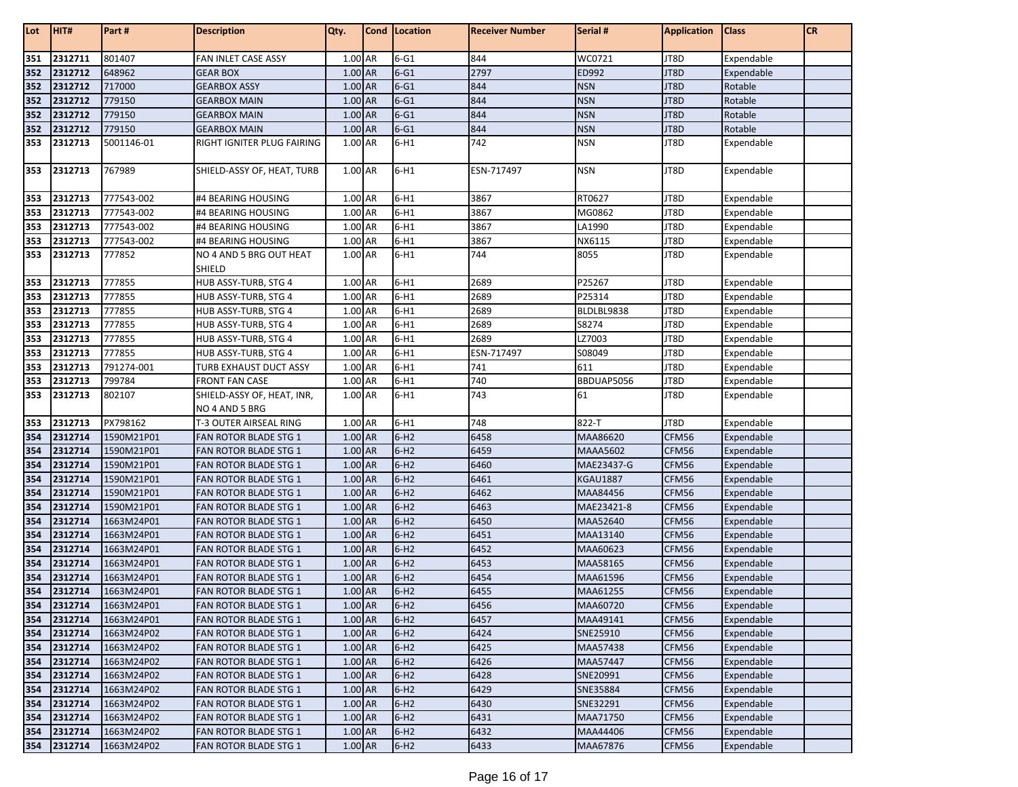| Lot | HIT#    | Part #     | <b>Description</b>                           | Qty.      | <b>Cond</b> Location | <b>Receiver Number</b> | Serial #        | <b>Application</b> | <b>Class</b> | <b>CR</b> |
|-----|---------|------------|----------------------------------------------|-----------|----------------------|------------------------|-----------------|--------------------|--------------|-----------|
| 351 | 2312711 | 801407     | FAN INLET CASE ASSY                          | $1.00$ AR | $6 - G1$             | 844                    | WC0721          | JT8D               | Expendable   |           |
| 352 | 2312712 | 648962     | <b>GEAR BOX</b>                              | 1.00 AR   | $6 - G1$             | 2797                   | ED992           | JT8D               | Expendable   |           |
| 352 | 2312712 | 717000     | <b>GEARBOX ASSY</b>                          | 1.00 AR   | $6 - G1$             | 844                    | <b>NSN</b>      | JT8D               | Rotable      |           |
| 352 | 2312712 | 779150     | <b>GEARBOX MAIN</b>                          | 1.00 AR   | $6 - G1$             | 844                    | <b>NSN</b>      | JT8D               | Rotable      |           |
| 352 | 2312712 | 779150     | <b>GEARBOX MAIN</b>                          | 1.00 AR   | $6 - G1$             | 844                    | <b>NSN</b>      | JT8D               | Rotable      |           |
| 352 | 2312712 | 779150     | <b>GEARBOX MAIN</b>                          | 1.00 AR   | $6 - G1$             | 844                    | <b>NSN</b>      | JT8D               | Rotable      |           |
| 353 | 2312713 | 5001146-01 | RIGHT IGNITER PLUG FAIRING                   | 1.00 AR   | $6-H1$               | 742                    | <b>NSN</b>      | JT8D               | Expendable   |           |
| 353 | 2312713 | 767989     | SHIELD-ASSY OF, HEAT, TURB                   | 1.00 AR   | $6-H1$               | ESN-717497             | NSN             | JT8D               | Expendable   |           |
| 353 | 2312713 | 777543-002 | #4 BEARING HOUSING                           | 1.00 AR   | $6-H1$               | 3867                   | RT0627          | JT8D               | Expendable   |           |
| 353 | 2312713 | 777543-002 | #4 BEARING HOUSING                           | 1.00 AR   | $6-H1$               | 3867                   | MG0862          | JT8D               | Expendable   |           |
| 353 | 2312713 | 777543-002 | #4 BEARING HOUSING                           | 1.00 AR   | $6-H1$               | 3867                   | LA1990          | JT8D               | Expendable   |           |
| 353 | 2312713 | 777543-002 | #4 BEARING HOUSING                           | 1.00 AR   | $6-H1$               | 3867                   | NX6115          | JT8D               | Expendable   |           |
| 353 | 2312713 | 777852     | NO 4 AND 5 BRG OUT HEAT<br>SHIELD            | 1.00 AR   | $6-H1$               | 744                    | 8055            | JT8D               | Expendable   |           |
| 353 | 2312713 | 777855     | HUB ASSY-TURB, STG 4                         | 1.00 AR   | $6-H1$               | 2689                   | P25267          | JT8D               | Expendable   |           |
| 353 | 2312713 | 777855     | HUB ASSY-TURB, STG 4                         | 1.00 AR   | $6-H1$               | 2689                   | P25314          | JT8D               | Expendable   |           |
| 353 | 2312713 | 777855     | HUB ASSY-TURB, STG 4                         | 1.00 AR   | $6-H1$               | 2689                   | BLDLBL9838      | JT8D               | Expendable   |           |
| 353 | 2312713 | 777855     | HUB ASSY-TURB, STG 4                         | 1.00 AR   | $6-H1$               | 2689                   | S8274           | JT8D               | Expendable   |           |
| 353 | 2312713 | 777855     | HUB ASSY-TURB, STG 4                         | 1.00 AR   | $6-H1$               | 2689                   | LZ7003          | JT8D               | Expendable   |           |
| 353 | 2312713 | 777855     | HUB ASSY-TURB, STG 4                         | 1.00 AR   | $6-H1$               | ESN-717497             | S08049          | JT8D               | Expendable   |           |
| 353 | 2312713 | 791274-001 | TURB EXHAUST DUCT ASSY                       | 1.00 AR   | $6-H1$               | 741                    | 611             | JT8D               | Expendable   |           |
| 353 | 2312713 | 799784     | <b>FRONT FAN CASE</b>                        | 1.00 AR   | $6-H1$               | 740                    | BBDUAP5056      | JT8D               | Expendable   |           |
| 353 | 2312713 | 802107     | SHIELD-ASSY OF, HEAT, INR,<br>NO 4 AND 5 BRG | 1.00 AR   | $6-H1$               | 743                    | 61              | JT8D               | Expendable   |           |
| 353 | 2312713 | PX798162   | T-3 OUTER AIRSEAL RING                       | 1.00 AR   | $6-H1$               | 748                    | 822-T           | JT8D               | Expendable   |           |
| 354 | 2312714 | 1590M21P01 | FAN ROTOR BLADE STG 1                        | 1.00 AR   | $6-H2$               | 6458                   | MAA86620        | CFM56              | Expendable   |           |
| 354 | 2312714 | 1590M21P01 | FAN ROTOR BLADE STG 1                        | 1.00 AR   | $6-H2$               | 6459                   | <b>MAAA5602</b> | CFM56              | Expendable   |           |
| 354 | 2312714 | 1590M21P01 | FAN ROTOR BLADE STG 1                        | 1.00 AR   | $6-H2$               | 6460                   | MAE23437-G      | CFM56              | Expendable   |           |
| 354 | 2312714 | 1590M21P01 | FAN ROTOR BLADE STG 1                        | 1.00 AR   | $6-H2$               | 6461                   | KGAU1887        | CFM56              | Expendable   |           |
| 354 | 2312714 | 1590M21P01 | FAN ROTOR BLADE STG 1                        | 1.00 AR   | $6-H2$               | 6462                   | MAA84456        | CFM56              | Expendable   |           |
| 354 | 2312714 | 1590M21P01 | FAN ROTOR BLADE STG 1                        | 1.00 AR   | $6-H2$               | 6463                   | MAE23421-8      | CFM56              | Expendable   |           |
| 354 | 2312714 | 1663M24P01 | <b>FAN ROTOR BLADE STG 1</b>                 | 1.00 AR   | $6-H2$               | 6450                   | MAA52640        | CFM56              | Expendable   |           |
| 354 | 2312714 | 1663M24P01 | FAN ROTOR BLADE STG 1                        | 1.00 AR   | $6-H2$               | 6451                   | MAA13140        | CFM56              | Expendable   |           |
| 354 | 2312714 | 1663M24P01 | FAN ROTOR BLADE STG 1                        | 1.00 AR   | $6-H2$               | 6452                   | MAA60623        | CFM56              | Expendable   |           |
| 354 | 2312714 | 1663M24P01 | FAN ROTOR BLADE STG 1                        | 1.00 AR   | $6-H2$               | 6453                   | MAA58165        | CFM56              | Expendable   |           |
| 354 | 2312714 | 1663M24P01 | FAN ROTOR BLADE STG 1                        | 1.00 AR   | $6-H2$               | 6454                   | MAA61596        | CFM56              | Expendable   |           |
| 354 | 2312714 | 1663M24P01 | <b>FAN ROTOR BLADE STG 1</b>                 | 1.00 AR   | $6-H2$               | 6455                   | MAA61255        | CFM56              | Expendable   |           |
| 354 | 2312714 | 1663M24P01 | <b>FAN ROTOR BLADE STG 1</b>                 | 1.00 AR   | $6-H2$               | 6456                   | MAA60720        | CFM56              | Expendable   |           |
| 354 | 2312714 | 1663M24P01 | FAN ROTOR BLADE STG 1                        | 1.00 AR   | $6-H2$               | 6457                   | MAA49141        | CFM56              | Expendable   |           |
| 354 | 2312714 | 1663M24P02 | FAN ROTOR BLADE STG 1                        | 1.00 AR   | $6-H2$               | 6424                   | SNE25910        | CFM56              | Expendable   |           |
| 354 | 2312714 | 1663M24P02 | FAN ROTOR BLADE STG 1                        | 1.00 AR   | $6-H2$               | 6425                   | MAA57438        | CFM56              | Expendable   |           |
| 354 | 2312714 | 1663M24P02 | FAN ROTOR BLADE STG 1                        | 1.00 AR   | $6-H2$               | 6426                   | MAA57447        | CFM56              | Expendable   |           |
| 354 | 2312714 | 1663M24P02 | FAN ROTOR BLADE STG 1                        | 1.00 AR   | $6-H2$               | 6428                   | SNE20991        | CFM56              | Expendable   |           |
| 354 | 2312714 | 1663M24P02 | FAN ROTOR BLADE STG 1                        | 1.00 AR   | $6-H2$               | 6429                   | SNE35884        | CFM56              | Expendable   |           |
| 354 | 2312714 | 1663M24P02 | FAN ROTOR BLADE STG 1                        | 1.00 AR   | $6-H2$               | 6430                   | SNE32291        | CFM56              | Expendable   |           |
| 354 | 2312714 | 1663M24P02 | FAN ROTOR BLADE STG 1                        | 1.00 AR   | $6-H2$               | 6431                   | MAA71750        | CFM56              | Expendable   |           |
| 354 | 2312714 | 1663M24P02 | FAN ROTOR BLADE STG 1                        | 1.00 AR   | $6-H2$               | 6432                   | MAA44406        | CFM56              | Expendable   |           |
| 354 | 2312714 | 1663M24P02 | FAN ROTOR BLADE STG 1                        | 1.00 AR   | $6-H2$               | 6433                   | MAA67876        | CFM56              | Expendable   |           |